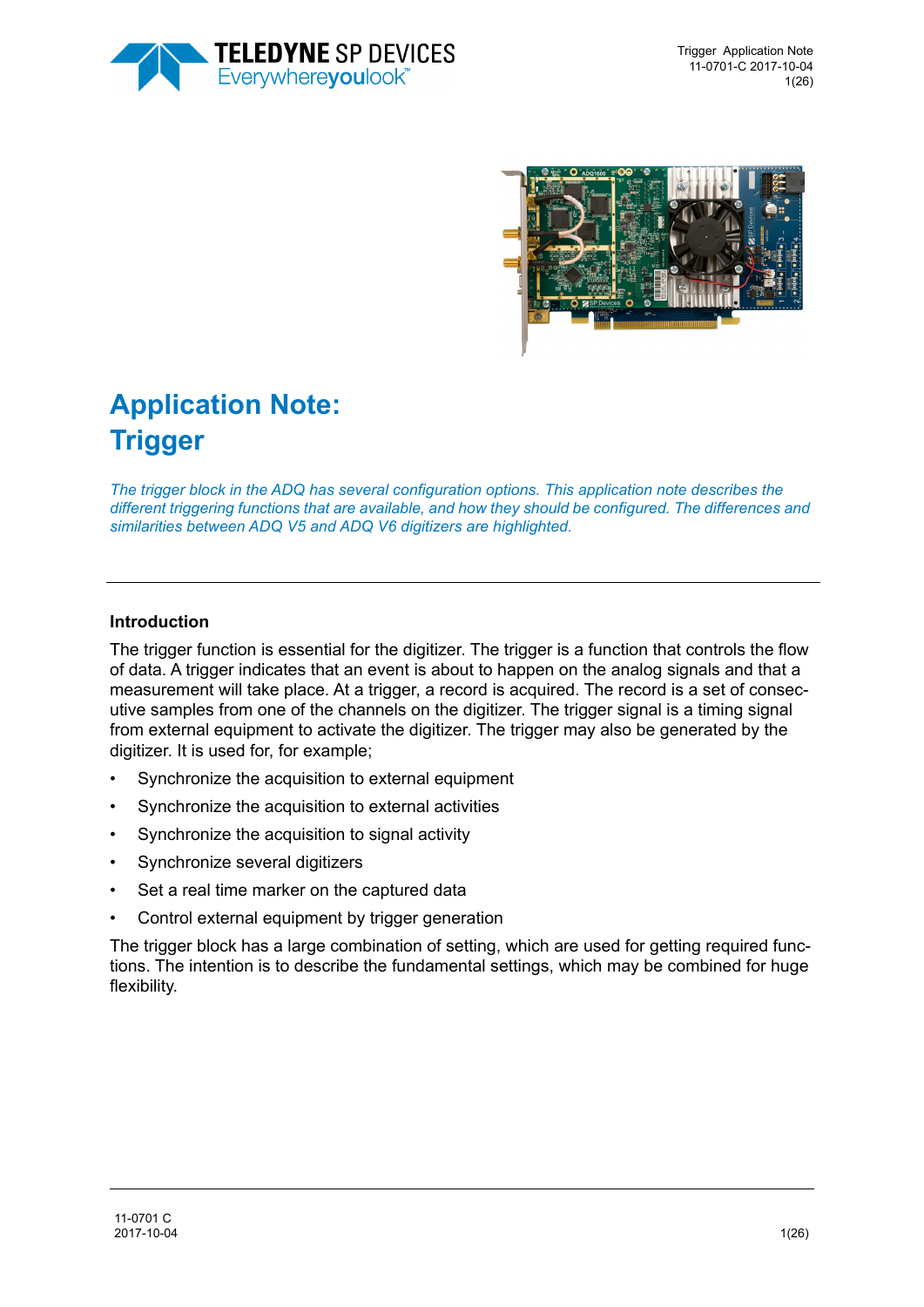



# **Application Note: Trigger**

*The trigger block in the ADQ has several configuration options. This application note describes the different triggering functions that are available, and how they should be configured. The differences and similarities between ADQ V5 and ADQ V6 digitizers are highlighted.* 

#### **Introduction**

The trigger function is essential for the digitizer. The trigger is a function that controls the flow of data. A trigger indicates that an event is about to happen on the analog signals and that a measurement will take place. At a trigger, a record is acquired. The record is a set of consecutive samples from one of the channels on the digitizer. The trigger signal is a timing signal from external equipment to activate the digitizer. The trigger may also be generated by the digitizer. It is used for, for example;

- Synchronize the acquisition to external equipment
- Synchronize the acquisition to external activities
- Synchronize the acquisition to signal activity
- Synchronize several digitizers
- Set a real time marker on the captured data
- Control external equipment by trigger generation

The trigger block has a large combination of setting, which are used for getting required functions. The intention is to describe the fundamental settings, which may be combined for huge flexibility.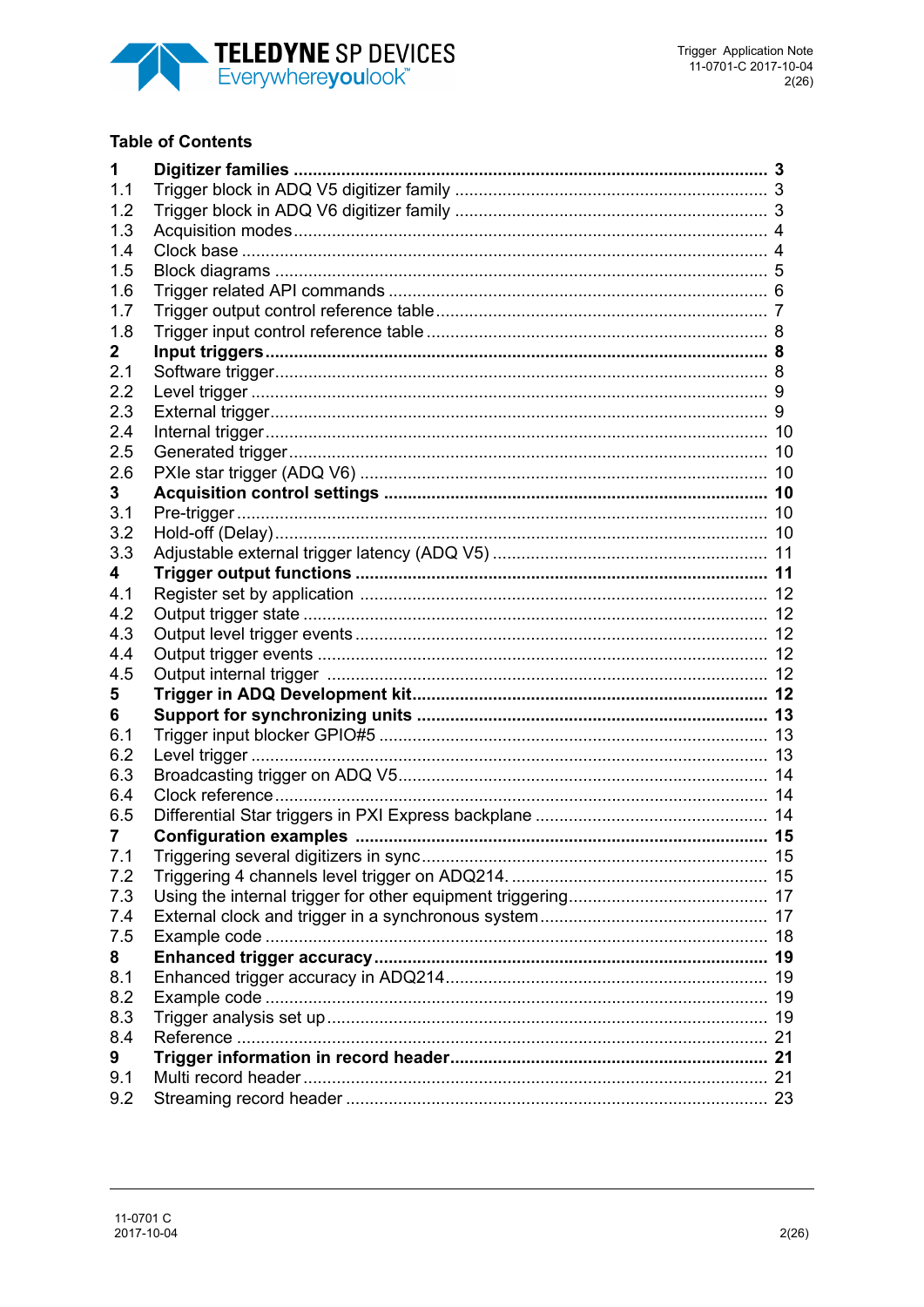

### **Table of Contents**

| 1            | Digitizer families                                     |    |
|--------------|--------------------------------------------------------|----|
| 1.1          |                                                        |    |
| 1.2          |                                                        |    |
| 1.3          |                                                        |    |
| 1.4          |                                                        |    |
| 1.5          |                                                        |    |
| 1.6          |                                                        |    |
| 1.7          |                                                        |    |
| 1.8          |                                                        |    |
| $\mathbf{2}$ |                                                        |    |
| 2.1          |                                                        |    |
| 2.2          |                                                        |    |
| 2.3          |                                                        |    |
| 2.4          |                                                        |    |
| 2.5          |                                                        |    |
| 2.6          |                                                        |    |
| 3            |                                                        |    |
| 3.1          |                                                        |    |
| 3.2          | Hold-off (Delay)…………………………………………………………………………………………… 10 |    |
| 3.3          |                                                        |    |
| 4            |                                                        |    |
| 4.1          |                                                        |    |
| 4.2          |                                                        |    |
| 4.3          |                                                        |    |
| 4.4          |                                                        |    |
| 4.5          |                                                        |    |
| 5            |                                                        |    |
| 6            |                                                        |    |
| 6.1          |                                                        |    |
| 6.2          |                                                        |    |
| 6.3          |                                                        |    |
| 6.4<br>6.5   |                                                        |    |
| 7            |                                                        |    |
| 7.1          |                                                        | 15 |
| 7.2          |                                                        |    |
| 7.3          |                                                        |    |
| 7.4          |                                                        |    |
| 7.5          |                                                        |    |
| 8            |                                                        |    |
| 8.1          |                                                        |    |
| 8.2          |                                                        |    |
| 8.3          |                                                        |    |
| 8.4          |                                                        |    |
| 9            |                                                        |    |
| 9.1          |                                                        |    |
| 9.2          |                                                        |    |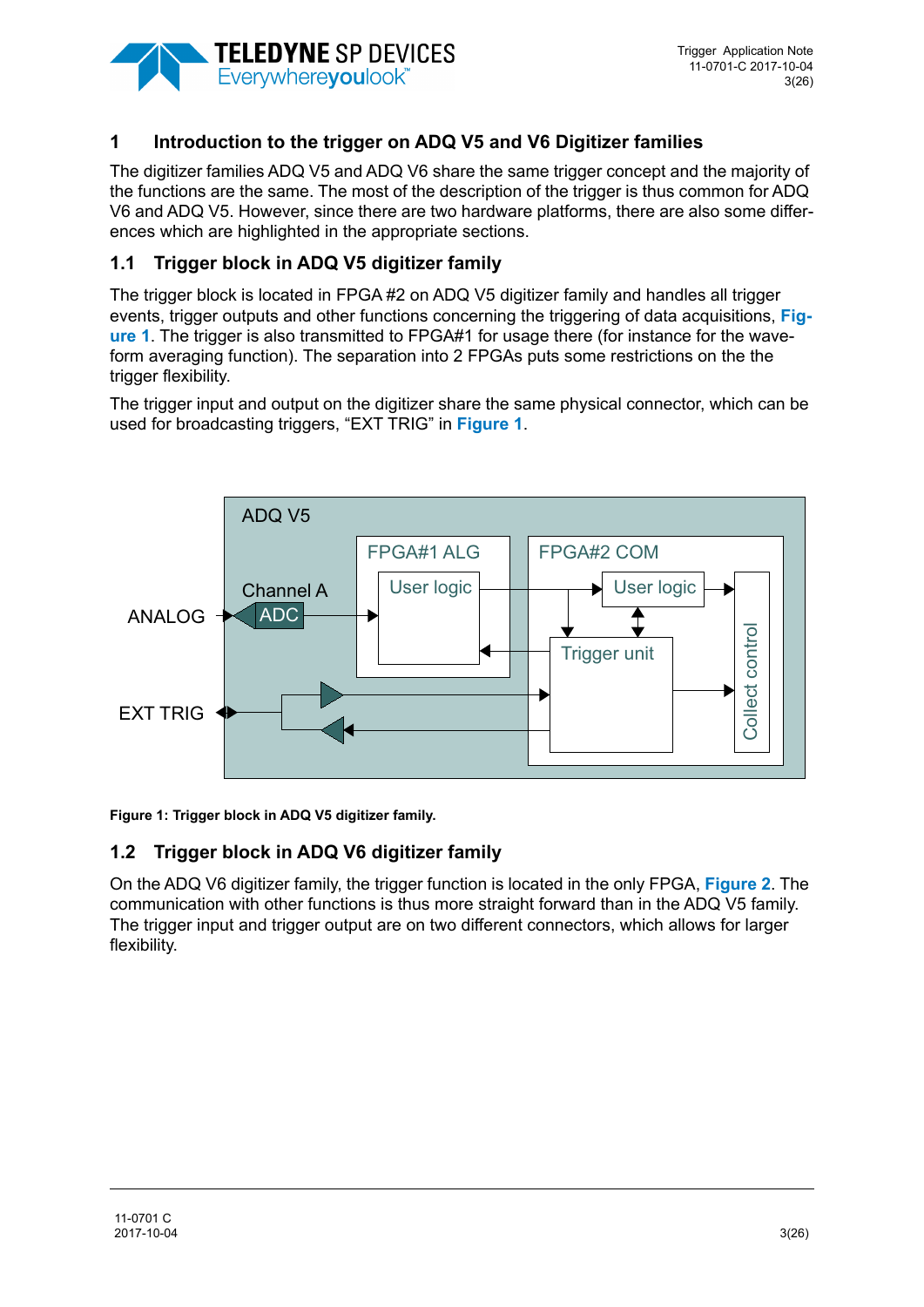

# **1 Introduction to the trigger on ADQ V5 and V6 Digitizer families**

The digitizer families ADQ V5 and ADQ V6 share the same trigger concept and the majority of the functions are the same. The most of the description of the trigger is thus common for ADQ V6 and ADQ V5. However, since there are two hardware platforms, there are also some differences which are highlighted in the appropriate sections.

## **1.1 Trigger block in ADQ V5 digitizer family**

The trigger block is located in FPGA #2 on ADQ V5 digitizer family and handles all trigger events, trigger outputs and other functions concerning the triggering of data acquisitions, **[Fig](#page-2-0)[ure 1](#page-2-0)**. The trigger is also transmitted to FPGA#1 for usage there (for instance for the waveform averaging function). The separation into 2 FPGAs puts some restrictions on the the trigger flexibility.

The trigger input and output on the digitizer share the same physical connector, which can be used for broadcasting triggers, "EXT TRIG" in **[Figure 1](#page-2-0)**.



<span id="page-2-0"></span>**Figure 1: Trigger block in ADQ V5 digitizer family.** 

## **1.2 Trigger block in ADQ V6 digitizer family**

On the ADQ V6 digitizer family, the trigger function is located in the only FPGA, **[Figure 2](#page-3-0)**. The communication with other functions is thus more straight forward than in the ADQ V5 family. The trigger input and trigger output are on two different connectors, which allows for larger flexibility.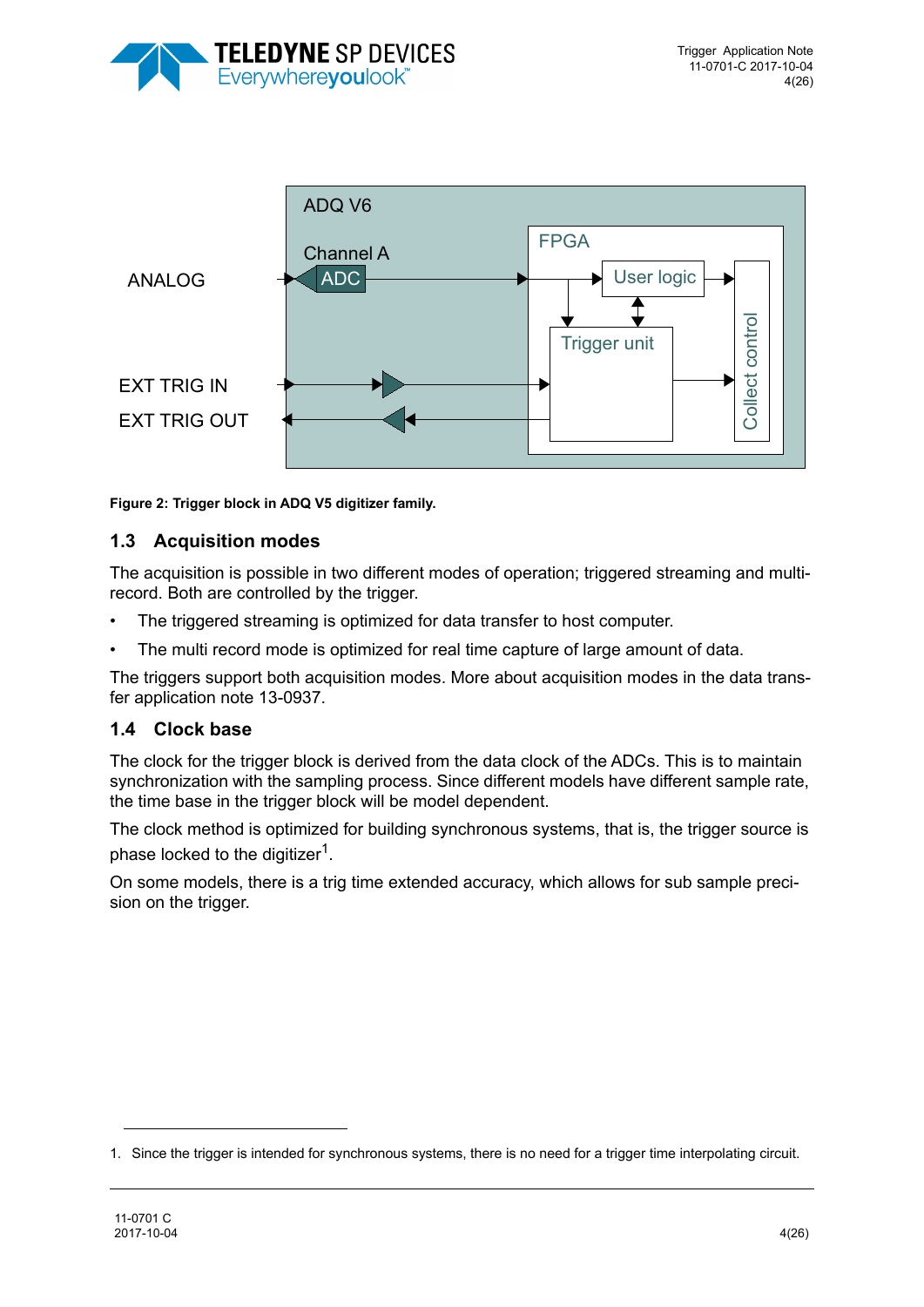



<span id="page-3-0"></span>**Figure 2: Trigger block in ADQ V5 digitizer family.** 

### **1.3 Acquisition modes**

The acquisition is possible in two different modes of operation; triggered streaming and multirecord. Both are controlled by the trigger.

- The triggered streaming is optimized for data transfer to host computer.
- The multi record mode is optimized for real time capture of large amount of data.

The triggers support both acquisition modes. More about acquisition modes in the data transfer application note 13-0937.

#### **1.4 Clock base**

The clock for the trigger block is derived from the data clock of the ADCs. This is to maintain synchronization with the sampling process. Since different models have different sample rate, the time base in the trigger block will be model dependent.

The clock method is optimized for building synchronous systems, that is, the trigger source is phase locked to the digitizer<sup>1</sup>.

On some models, there is a trig time extended accuracy, which allows for sub sample precision on the trigger.

<sup>1.</sup> Since the trigger is intended for synchronous systems, there is no need for a trigger time interpolating circuit.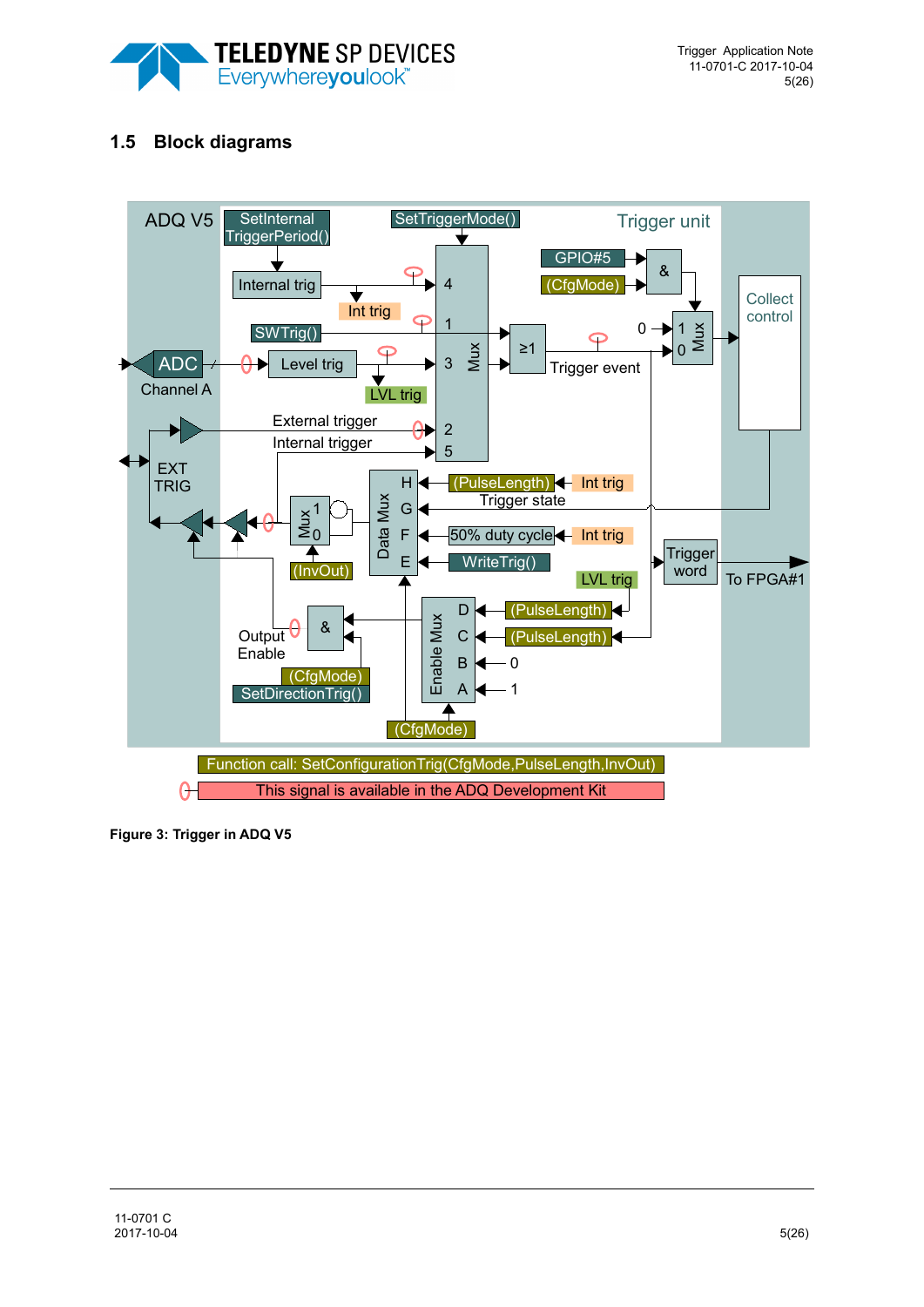

# **1.5 Block diagrams**



**Figure 3: Trigger in ADQ V5**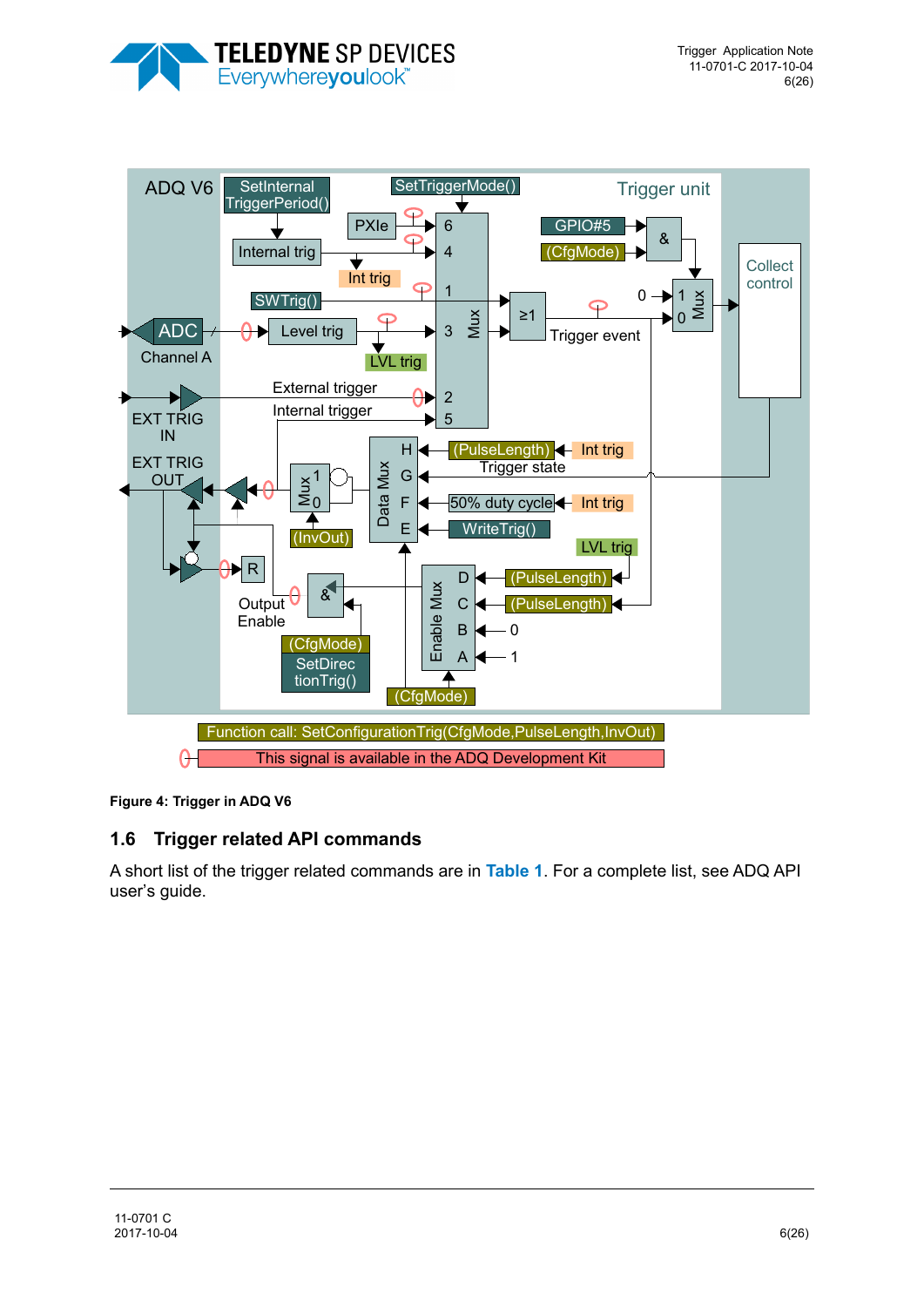



<span id="page-5-0"></span>**Figure 4: Trigger in ADQ V6**

### **1.6 Trigger related API commands**

A short list of the trigger related commands are in **[Table 1](#page-6-0)**. For a complete list, see ADQ API user's guide.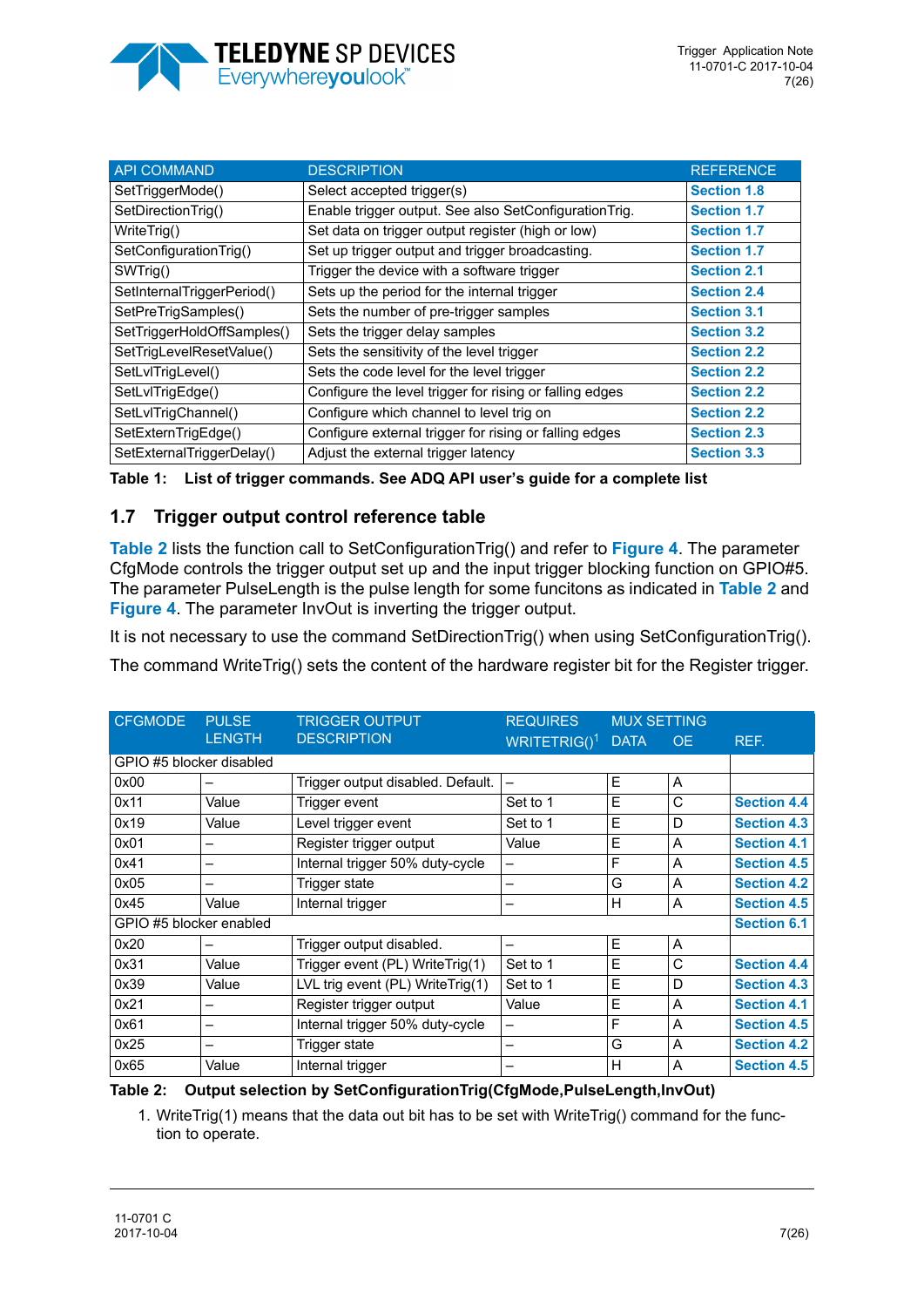

| <b>API COMMAND</b>         | <b>DESCRIPTION</b>                                      | <b>REFERENCE</b>   |
|----------------------------|---------------------------------------------------------|--------------------|
| SetTriggerMode()           | Select accepted trigger(s)                              | <b>Section 1.8</b> |
| SetDirectionTrig()         | Enable trigger output. See also SetConfigurationTrig.   | <b>Section 1.7</b> |
| WriteTrig()                | Set data on trigger output register (high or low)       | <b>Section 1.7</b> |
| SetConfigurationTrig()     | Set up trigger output and trigger broadcasting.         | <b>Section 1.7</b> |
| SWTrig()                   | Trigger the device with a software trigger              | <b>Section 2.1</b> |
| SetInternalTriggerPeriod() | Sets up the period for the internal trigger             | <b>Section 2.4</b> |
| SetPreTrigSamples()        | Sets the number of pre-trigger samples                  | <b>Section 3.1</b> |
| SetTriggerHoldOffSamples() | Sets the trigger delay samples                          | <b>Section 3.2</b> |
| SetTrigLevelResetValue()   | Sets the sensitivity of the level trigger               | <b>Section 2.2</b> |
| SetLvlTrigLevel()          | Sets the code level for the level trigger               | <b>Section 2.2</b> |
| SetLvlTrigEdge()           | Configure the level trigger for rising or falling edges | <b>Section 2.2</b> |
| SetLvlTrigChannel()        | Configure which channel to level trig on                | <b>Section 2.2</b> |
| SetExternTrigEdge()        | Configure external trigger for rising or falling edges  | <b>Section 2.3</b> |
| SetExternalTriggerDelay()  | Adjust the external trigger latency                     | <b>Section 3.3</b> |

<span id="page-6-0"></span>

| Table 1: List of trigger commands. See ADQ API user's guide for a complete list |  |
|---------------------------------------------------------------------------------|--|
|                                                                                 |  |

### <span id="page-6-2"></span>**1.7 Trigger output control reference table**

**[Table 2](#page-6-1)** lists the function call to SetConfigurationTrig() and refer to **[Figure 4](#page-5-0)**. The parameter CfgMode controls the trigger output set up and the input trigger blocking function on GPIO#5. The parameter PulseLength is the pulse length for some funcitons as indicated in **[Table 2](#page-6-1)** and **[Figure 4](#page-5-0)**. The parameter InvOut is inverting the trigger output.

It is not necessary to use the command SetDirectionTrig() when using SetConfigurationTrig().

The command WriteTrig() sets the content of the hardware register bit for the Register trigger.

| <b>CFGMODE</b>           | <b>PULSE</b>             | <b>TRIGGER OUTPUT</b>             | <b>REQUIRES</b>          | <b>MUX SETTING</b> |           |                    |
|--------------------------|--------------------------|-----------------------------------|--------------------------|--------------------|-----------|--------------------|
|                          | <b>LENGTH</b>            | <b>DESCRIPTION</b>                | WRITETRIG( $)^1$         | <b>DATA</b>        | <b>OE</b> | REF.               |
| GPIO #5 blocker disabled |                          |                                   |                          |                    |           |                    |
| 0x00                     | -                        | Trigger output disabled. Default. | $\overline{\phantom{0}}$ | E                  | A         |                    |
| 0x11                     | Value                    | Trigger event                     | Set to 1                 | E                  | С         | <b>Section 4.4</b> |
| 0x19                     | Value                    | Level trigger event               | Set to 1                 | E                  | D         | <b>Section 4.3</b> |
| 0x01                     | $\overline{\phantom{0}}$ | Register trigger output           | Value                    | E                  | A         | <b>Section 4.1</b> |
| 0x41                     | -                        | Internal trigger 50% duty-cycle   | —                        | F                  | A         | <b>Section 4.5</b> |
| 0x05                     | -                        | Trigger state                     |                          | G                  | A         | <b>Section 4.2</b> |
| 0x45                     | Value                    | Internal trigger                  | -                        | H                  | A         | <b>Section 4.5</b> |
| GPIO #5 blocker enabled  |                          |                                   |                          |                    |           | <b>Section 6.1</b> |
| 0x20                     | $\overline{\phantom{0}}$ | Trigger output disabled.          | $\overline{\phantom{0}}$ | E                  | A         |                    |
| 0x31                     | Value                    | Trigger event (PL) WriteTrig(1)   | Set to 1                 | E                  | C         | <b>Section 4.4</b> |
| 0x39                     | Value                    | LVL trig event (PL) WriteTrig(1)  | Set to 1                 | E                  | D         | <b>Section 4.3</b> |
| 0x21                     | -                        | Register trigger output           | Value                    | E                  | A         | <b>Section 4.1</b> |
| 0x61                     | -                        | Internal trigger 50% duty-cycle   | -                        | F                  | A         | <b>Section 4.5</b> |
| 0x25                     | -                        | Trigger state                     | -                        | G                  | A         | <b>Section 4.2</b> |
| 0x65                     | Value                    | Internal trigger                  | -                        | H                  | A         | <b>Section 4.5</b> |

#### <span id="page-6-1"></span>**Table 2: Output selection by SetConfigurationTrig(CfgMode,PulseLength,InvOut)**

1. WriteTrig(1) means that the data out bit has to be set with WriteTrig() command for the function to operate.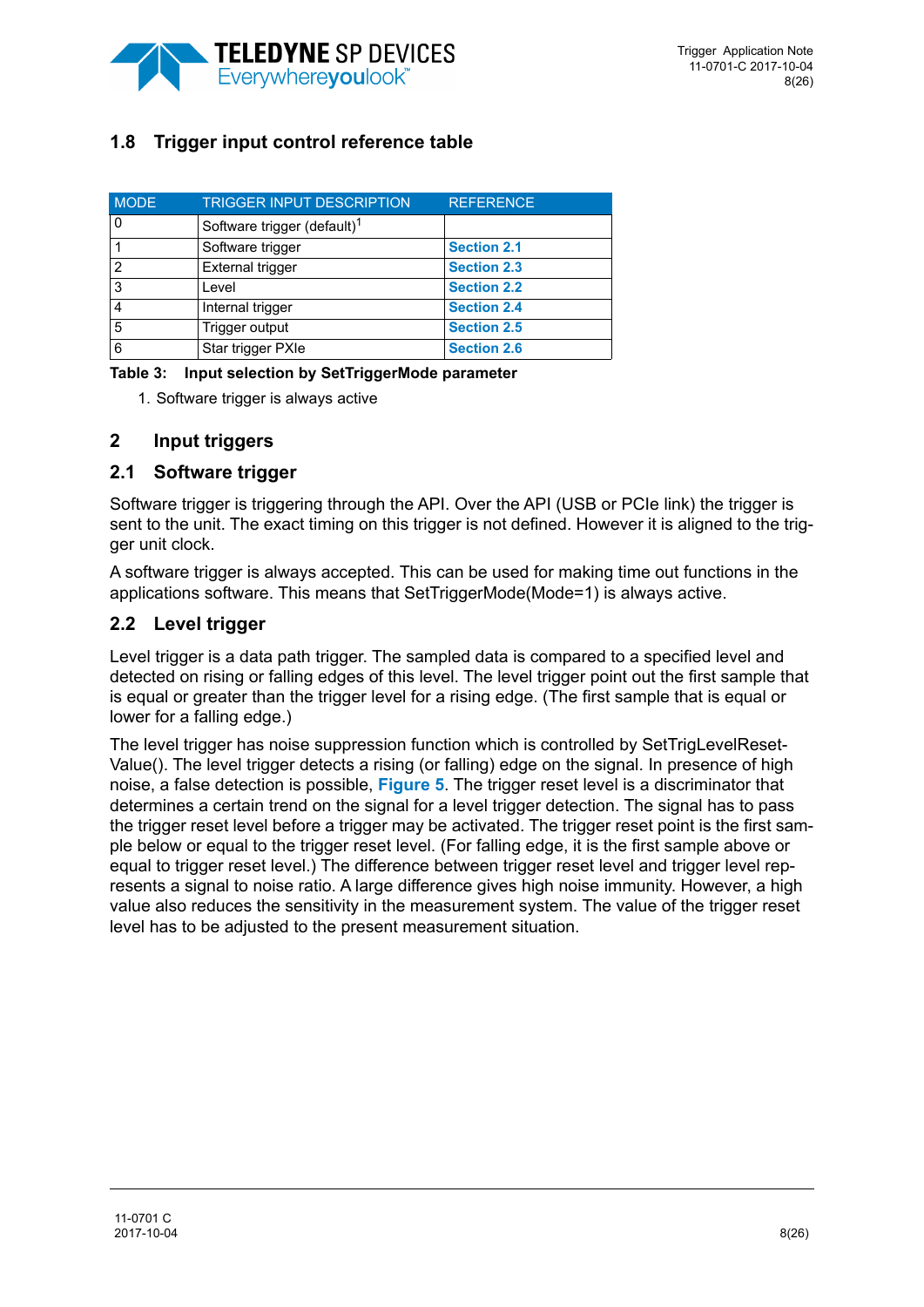

# <span id="page-7-0"></span>**1.8 Trigger input control reference table**

| <b>MODE</b> | <b>TRIGGER INPUT DESCRIPTION</b>        | <b>REFERENCE</b>   |
|-------------|-----------------------------------------|--------------------|
| 0           | Software trigger (default) <sup>1</sup> |                    |
|             | Software trigger                        | <b>Section 2.1</b> |
| 2           | <b>External trigger</b>                 | <b>Section 2.3</b> |
| 3           | Level                                   | <b>Section 2.2</b> |
| 4           | Internal trigger                        | <b>Section 2.4</b> |
| 5           | Trigger output                          | <b>Section 2.5</b> |
| 6           | Star trigger PXIe                       | <b>Section 2.6</b> |

|  | Table 3: Input selection by SetTriggerMode parameter |  |
|--|------------------------------------------------------|--|
|  |                                                      |  |

1. Software trigger is always active

### **2 Input triggers**

### <span id="page-7-1"></span>**2.1 Software trigger**

Software trigger is triggering through the API. Over the API (USB or PCIe link) the trigger is sent to the unit. The exact timing on this trigger is not defined. However it is aligned to the trigger unit clock.

A software trigger is always accepted. This can be used for making time out functions in the applications software. This means that SetTriggerMode(Mode=1) is always active.

### <span id="page-7-2"></span>**2.2 Level trigger**

Level trigger is a data path trigger. The sampled data is compared to a specified level and detected on rising or falling edges of this level. The level trigger point out the first sample that is equal or greater than the trigger level for a rising edge. (The first sample that is equal or lower for a falling edge.)

The level trigger has noise suppression function which is controlled by SetTrigLevelReset-Value(). The level trigger detects a rising (or falling) edge on the signal. In presence of high noise, a false detection is possible, **[Figure 5](#page-8-2)**. The trigger reset level is a discriminator that determines a certain trend on the signal for a level trigger detection. The signal has to pass the trigger reset level before a trigger may be activated. The trigger reset point is the first sample below or equal to the trigger reset level. (For falling edge, it is the first sample above or equal to trigger reset level.) The difference between trigger reset level and trigger level represents a signal to noise ratio. A large difference gives high noise immunity. However, a high value also reduces the sensitivity in the measurement system. The value of the trigger reset level has to be adjusted to the present measurement situation.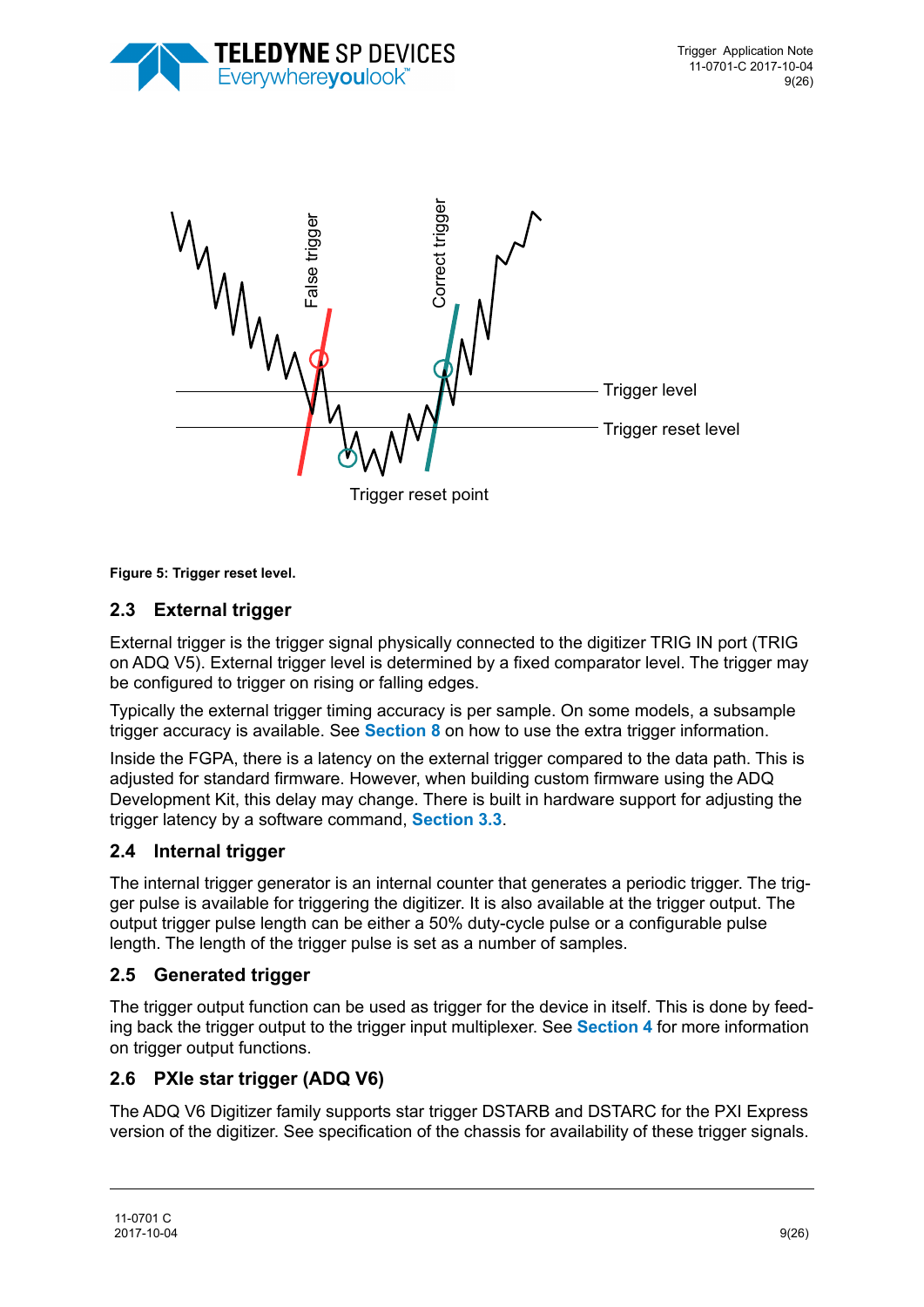



<span id="page-8-2"></span>**Figure 5: Trigger reset level.** 

# <span id="page-8-1"></span>**2.3 External trigger**

External trigger is the trigger signal physically connected to the digitizer TRIG IN port (TRIG on ADQ V5). External trigger level is determined by a fixed comparator level. The trigger may be configured to trigger on rising or falling edges.

Typically the external trigger timing accuracy is per sample. On some models, a subsample trigger accuracy is available. See **[Section 8](#page-17-0)** on how to use the extra trigger information.

Inside the FGPA, there is a latency on the external trigger compared to the data path. This is adjusted for standard firmware. However, when building custom firmware using the ADQ Development Kit, this delay may change. There is built in hardware support for adjusting the trigger latency by a software command, **[Section 3.3](#page-9-2)**.

## <span id="page-8-0"></span>**2.4 Internal trigger**

The internal trigger generator is an internal counter that generates a periodic trigger. The trigger pulse is available for triggering the digitizer. It is also available at the trigger output. The output trigger pulse length can be either a 50% duty-cycle pulse or a configurable pulse length. The length of the trigger pulse is set as a number of samples.

### <span id="page-8-3"></span>**2.5 Generated trigger**

The trigger output function can be used as trigger for the device in itself. This is done by feeding back the trigger output to the trigger input multiplexer. See **[Section 4](#page-10-1)** for more information on trigger output functions.

### <span id="page-8-4"></span>**2.6 PXIe star trigger (ADQ V6)**

The ADQ V6 Digitizer family supports star trigger DSTARB and DSTARC for the PXI Express version of the digitizer. See specification of the chassis for availability of these trigger signals.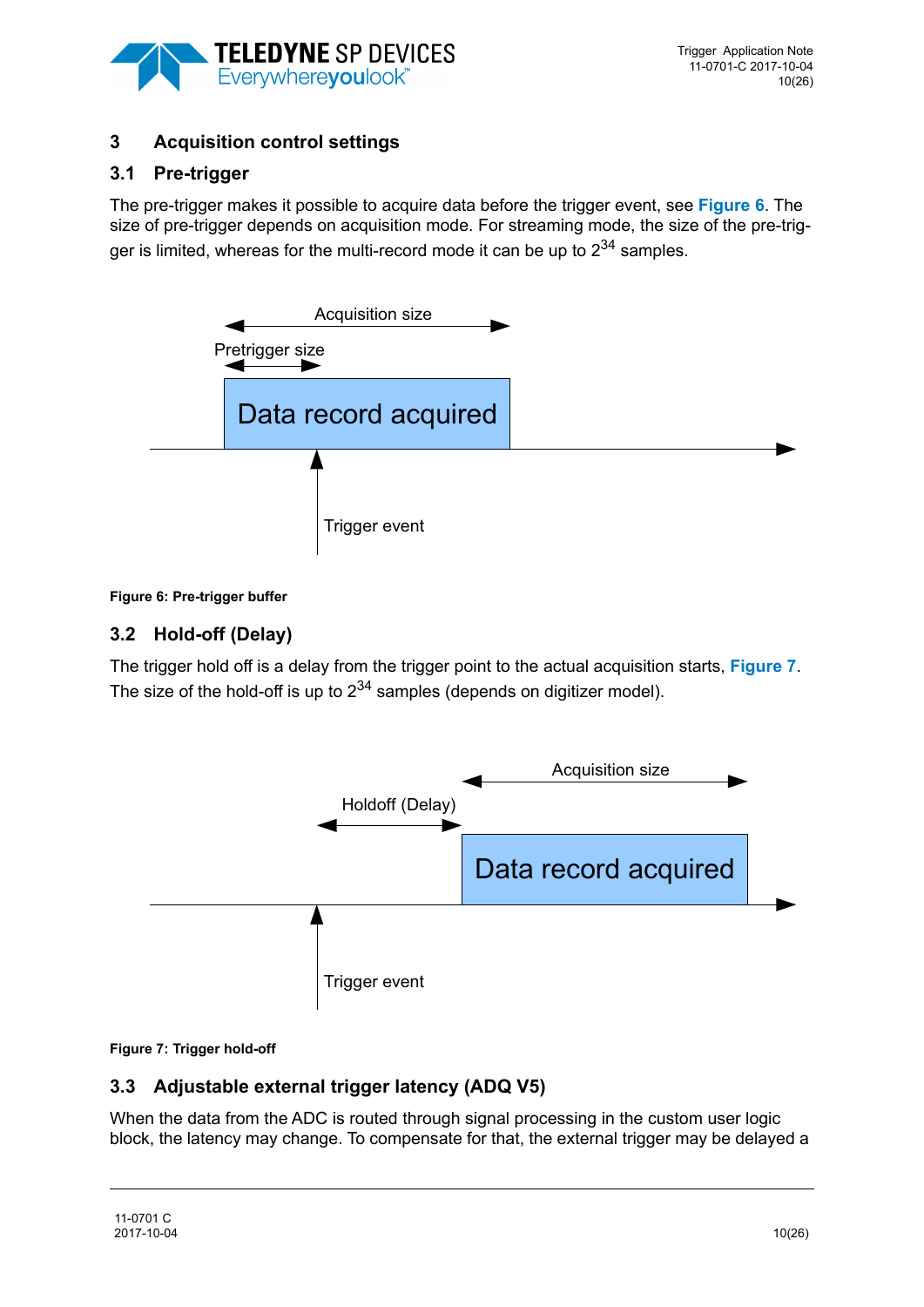

# **3 Acquisition control settings**

# <span id="page-9-0"></span>**3.1 Pre-trigger**

The pre-trigger makes it possible to acquire data before the trigger event, see **[Figure 6](#page-9-3)**. The size of pre-trigger depends on acquisition mode. For streaming mode, the size of the pre-trigger is limited, whereas for the multi-record mode it can be up to  $2^{34}$  samples.



#### <span id="page-9-3"></span>**Figure 6: Pre-trigger buffer**

## <span id="page-9-1"></span>**3.2 Hold-off (Delay)**

The trigger hold off is a delay from the trigger point to the actual acquisition starts, **[Figure 7](#page-9-4)**. The size of the hold-off is up to  $2^{34}$  samples (depends on digitizer model).



#### <span id="page-9-4"></span>**Figure 7: Trigger hold-off**

## <span id="page-9-2"></span>**3.3 Adjustable external trigger latency (ADQ V5)**

When the data from the ADC is routed through signal processing in the custom user logic block, the latency may change. To compensate for that, the external trigger may be delayed a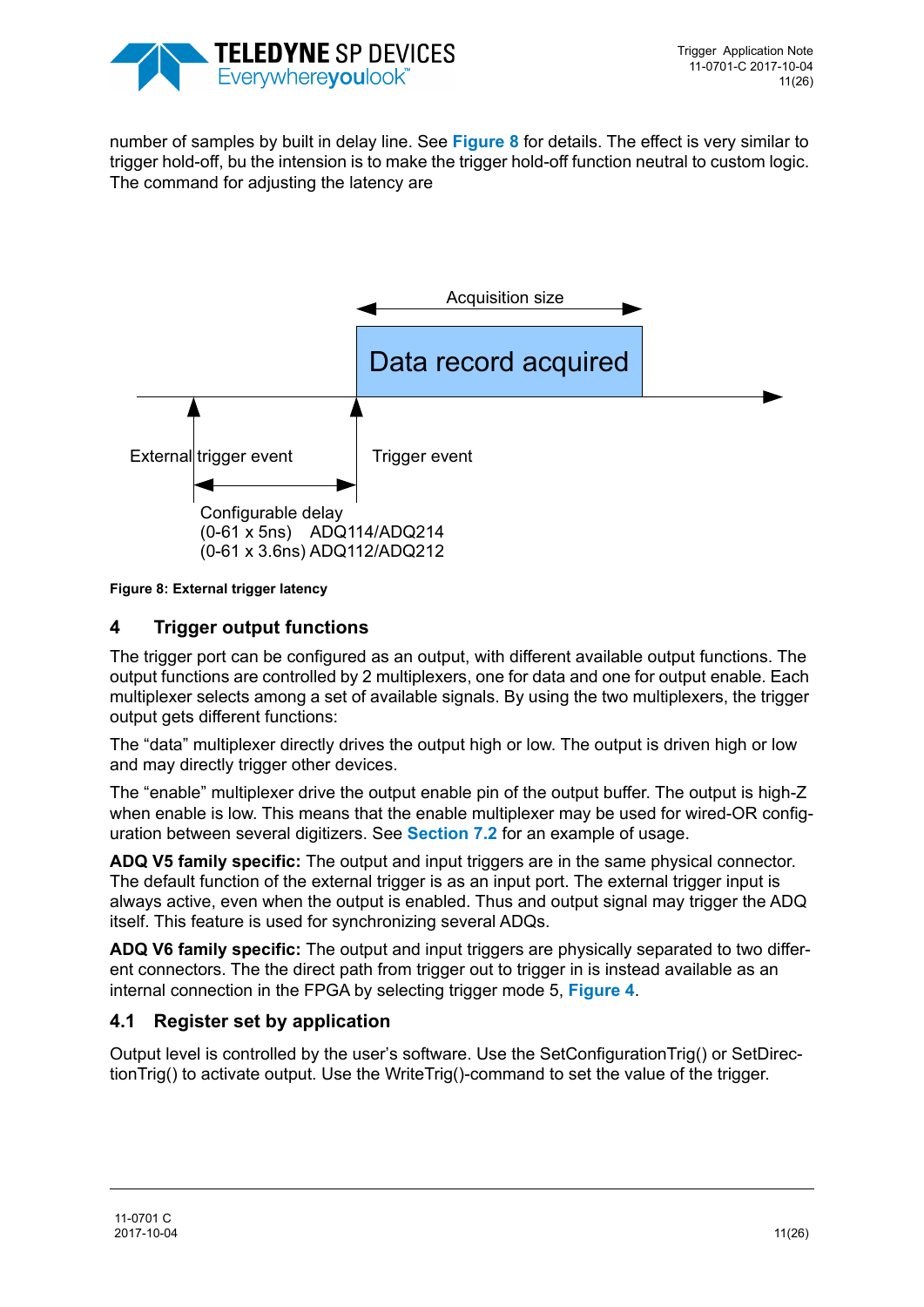

number of samples by built in delay line. See **[Figure 8](#page-10-2)** for details. The effect is very similar to trigger hold-off, bu the intension is to make the trigger hold-off function neutral to custom logic. The command for adjusting the latency are



#### <span id="page-10-2"></span>**Figure 8: External trigger latency**

## <span id="page-10-1"></span>**4 Trigger output functions**

The trigger port can be configured as an output, with different available output functions. The output functions are controlled by 2 multiplexers, one for data and one for output enable. Each multiplexer selects among a set of available signals. By using the two multiplexers, the trigger output gets different functions:

The "data" multiplexer directly drives the output high or low. The output is driven high or low and may directly trigger other devices.

The "enable" multiplexer drive the output enable pin of the output buffer. The output is high-Z when enable is low. This means that the enable multiplexer may be used for wired-OR configuration between several digitizers. See **[Section 7.2](#page-14-0)** for an example of usage.

**ADQ V5 family specific:** The output and input triggers are in the same physical connector. The default function of the external trigger is as an input port. The external trigger input is always active, even when the output is enabled. Thus and output signal may trigger the ADQ itself. This feature is used for synchronizing several ADQs.

**ADQ V6 family specific:** The output and input triggers are physically separated to two different connectors. The the direct path from trigger out to trigger in is instead available as an internal connection in the FPGA by selecting trigger mode 5, **[Figure 4](#page-5-0)**.

### <span id="page-10-0"></span>**4.1 Register set by application**

Output level is controlled by the user's software. Use the SetConfigurationTrig() or SetDirectionTrig() to activate output. Use the WriteTrig()-command to set the value of the trigger.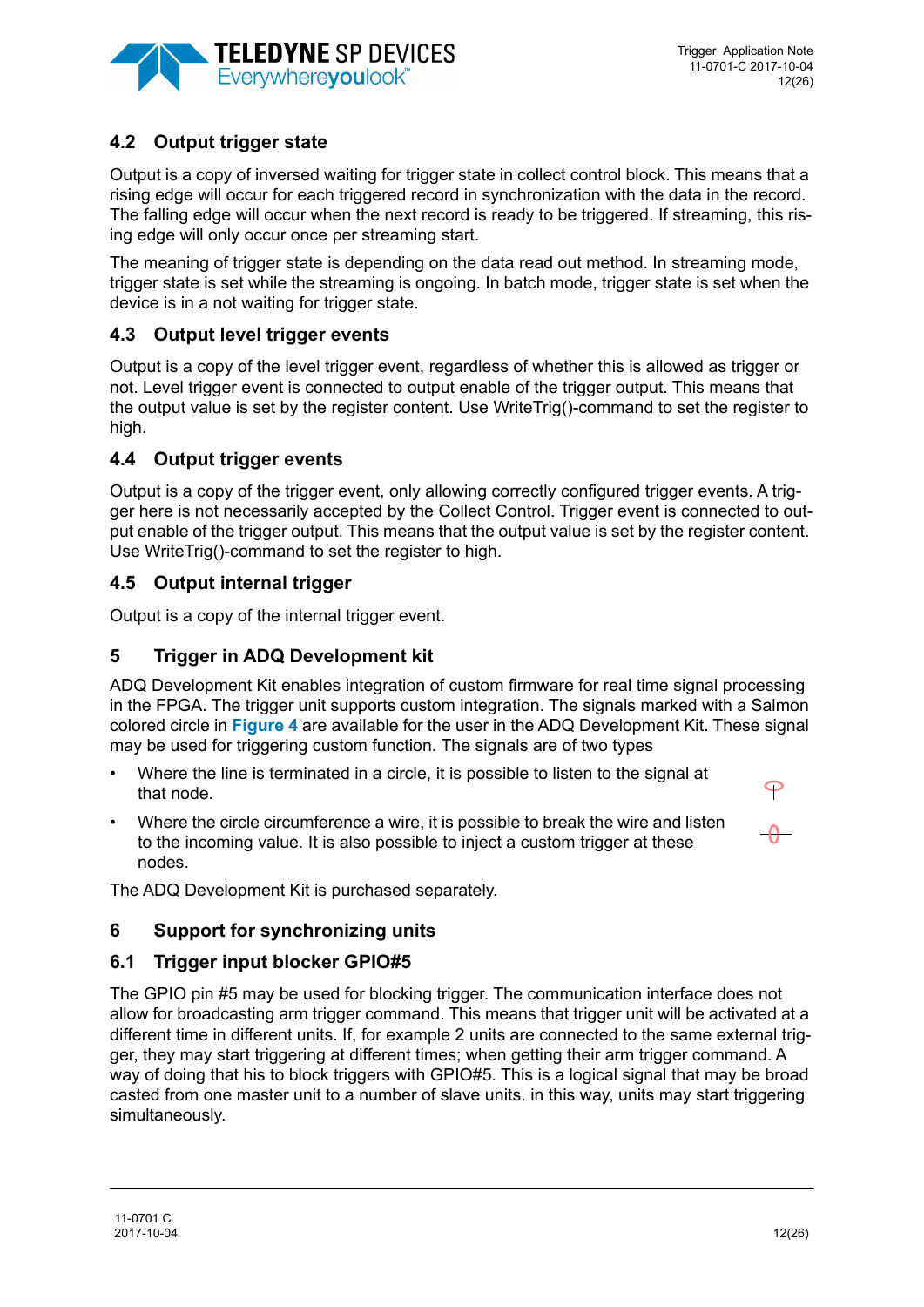

# <span id="page-11-2"></span>**4.2 Output trigger state**

Output is a copy of inversed waiting for trigger state in collect control block. This means that a rising edge will occur for each triggered record in synchronization with the data in the record. The falling edge will occur when the next record is ready to be triggered. If streaming, this rising edge will only occur once per streaming start.

The meaning of trigger state is depending on the data read out method. In streaming mode, trigger state is set while the streaming is ongoing. In batch mode, trigger state is set when the device is in a not waiting for trigger state.

## <span id="page-11-3"></span>**4.3 Output level trigger events**

Output is a copy of the level trigger event, regardless of whether this is allowed as trigger or not. Level trigger event is connected to output enable of the trigger output. This means that the output value is set by the register content. Use WriteTrig()-command to set the register to high.

## <span id="page-11-4"></span>**4.4 Output trigger events**

Output is a copy of the trigger event, only allowing correctly configured trigger events. A trigger here is not necessarily accepted by the Collect Control. Trigger event is connected to output enable of the trigger output. This means that the output value is set by the register content. Use WriteTrig()-command to set the register to high.

## <span id="page-11-0"></span>**4.5 Output internal trigger**

Output is a copy of the internal trigger event.

## **5 Trigger in ADQ Development kit**

ADQ Development Kit enables integration of custom firmware for real time signal processing in the FPGA. The trigger unit supports custom integration. The signals marked with a Salmon colored circle in **[Figure 4](#page-5-0)** are available for the user in the ADQ Development Kit. These signal may be used for triggering custom function. The signals are of two types

- Where the line is terminated in a circle, it is possible to listen to the signal at that node.
- Where the circle circumference a wire, it is possible to break the wire and listen to the incoming value. It is also possible to inject a custom trigger at these nodes.

P

The ADQ Development Kit is purchased separately.

### <span id="page-11-5"></span>**6 Support for synchronizing units**

### <span id="page-11-1"></span>**6.1 Trigger input blocker GPIO#5**

The GPIO pin #5 may be used for blocking trigger. The communication interface does not allow for broadcasting arm trigger command. This means that trigger unit will be activated at a different time in different units. If, for example 2 units are connected to the same external trigger, they may start triggering at different times; when getting their arm trigger command. A way of doing that his to block triggers with GPIO#5. This is a logical signal that may be broad casted from one master unit to a number of slave units. in this way, units may start triggering simultaneously.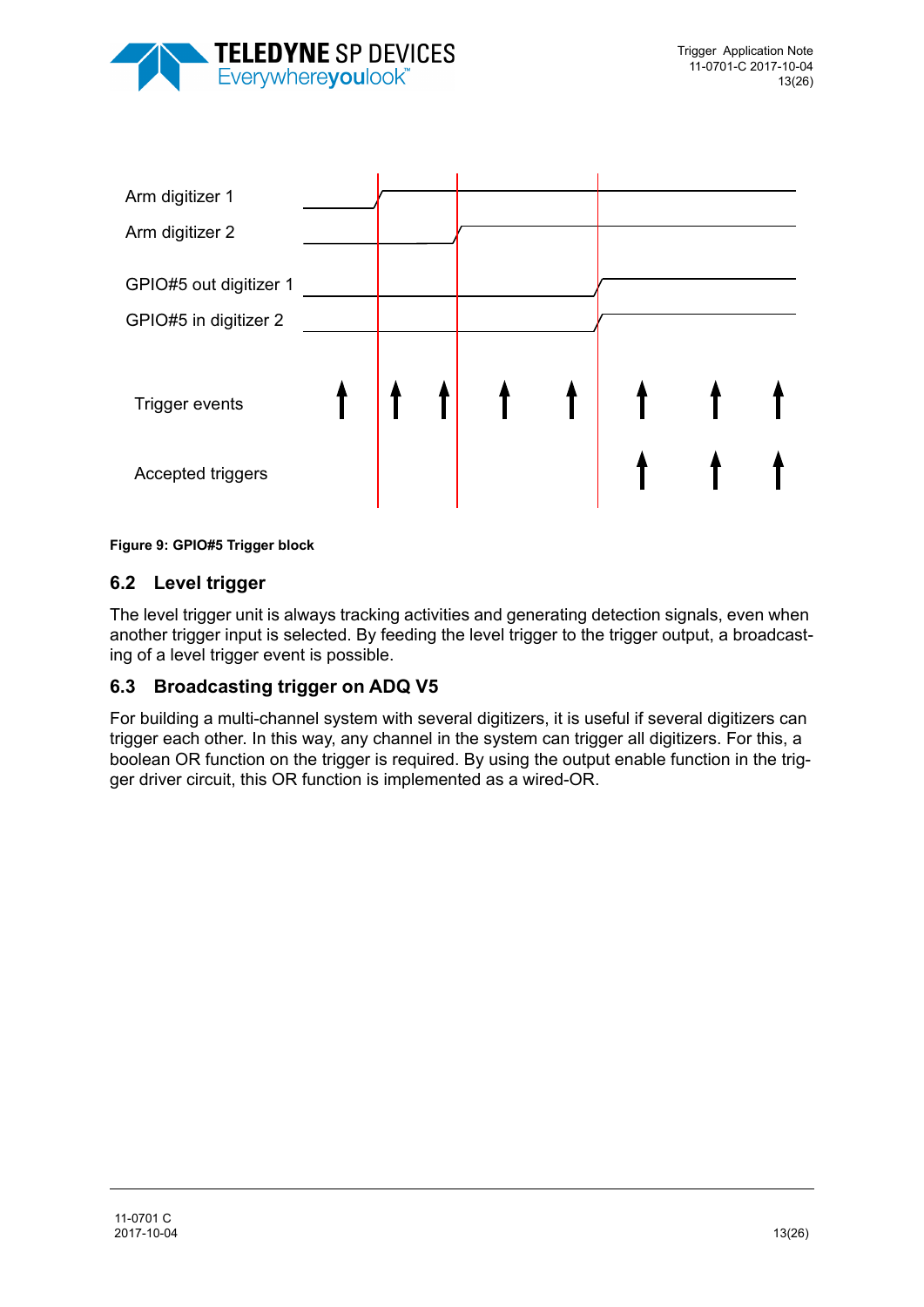



**Figure 9: GPIO#5 Trigger block**

## <span id="page-12-0"></span>**6.2 Level trigger**

The level trigger unit is always tracking activities and generating detection signals, even when another trigger input is selected. By feeding the level trigger to the trigger output, a broadcasting of a level trigger event is possible.

## <span id="page-12-1"></span>**6.3 Broadcasting trigger on ADQ V5**

For building a multi-channel system with several digitizers, it is useful if several digitizers can trigger each other. In this way, any channel in the system can trigger all digitizers. For this, a boolean OR function on the trigger is required. By using the output enable function in the trigger driver circuit, this OR function is implemented as a wired-OR.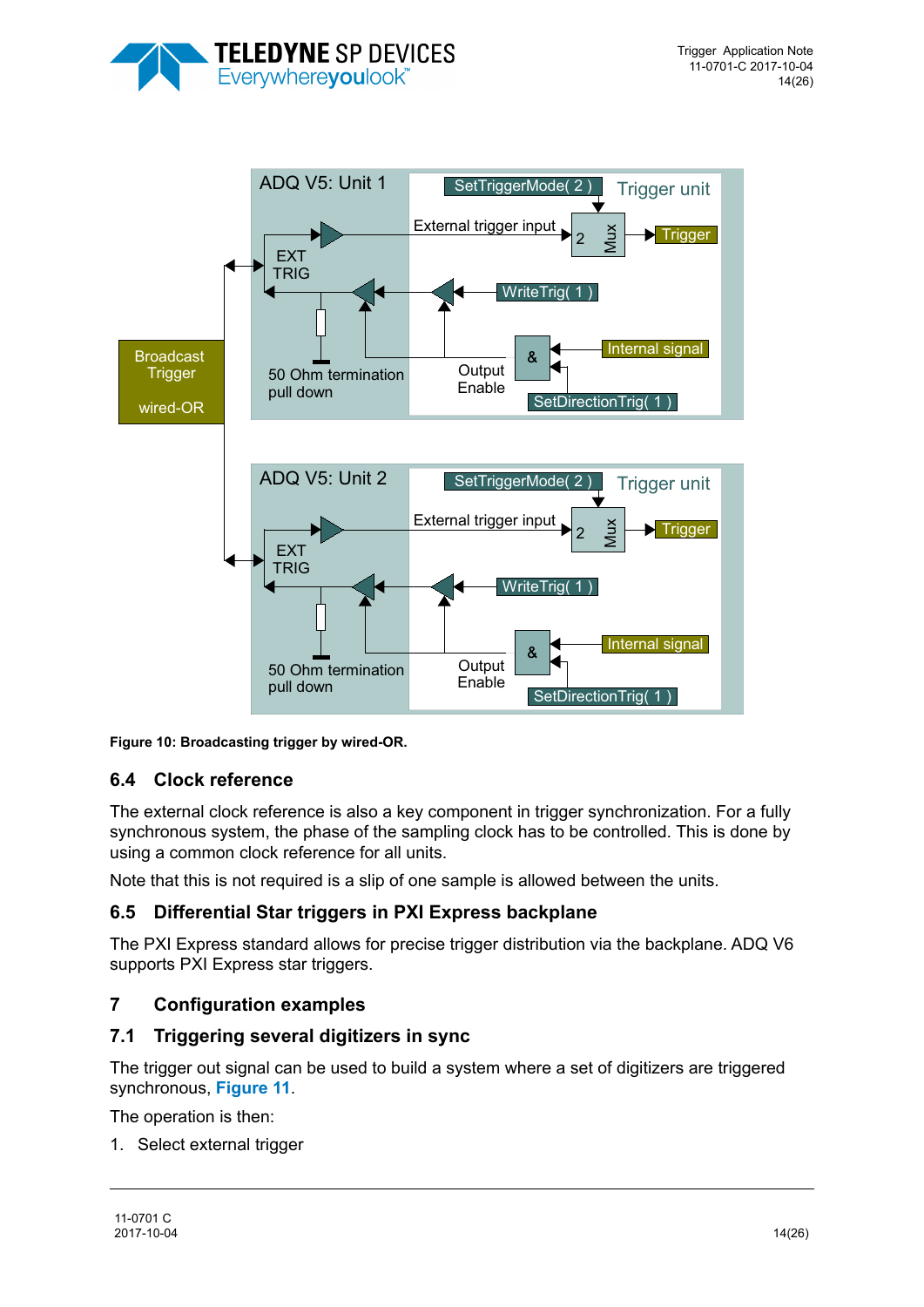



**Figure 10: Broadcasting trigger by wired-OR.** 

## <span id="page-13-0"></span>**6.4 Clock reference**

The external clock reference is also a key component in trigger synchronization. For a fully synchronous system, the phase of the sampling clock has to be controlled. This is done by using a common clock reference for all units.

Note that this is not required is a slip of one sample is allowed between the units.

### **6.5 Differential Star triggers in PXI Express backplane**

The PXI Express standard allows for precise trigger distribution via the backplane. ADQ V6 supports PXI Express star triggers.

### **7 Configuration examples**

### **7.1 Triggering several digitizers in sync**

The trigger out signal can be used to build a system where a set of digitizers are triggered synchronous, **[Figure 11](#page-14-1)**.

The operation is then:

1. Select external trigger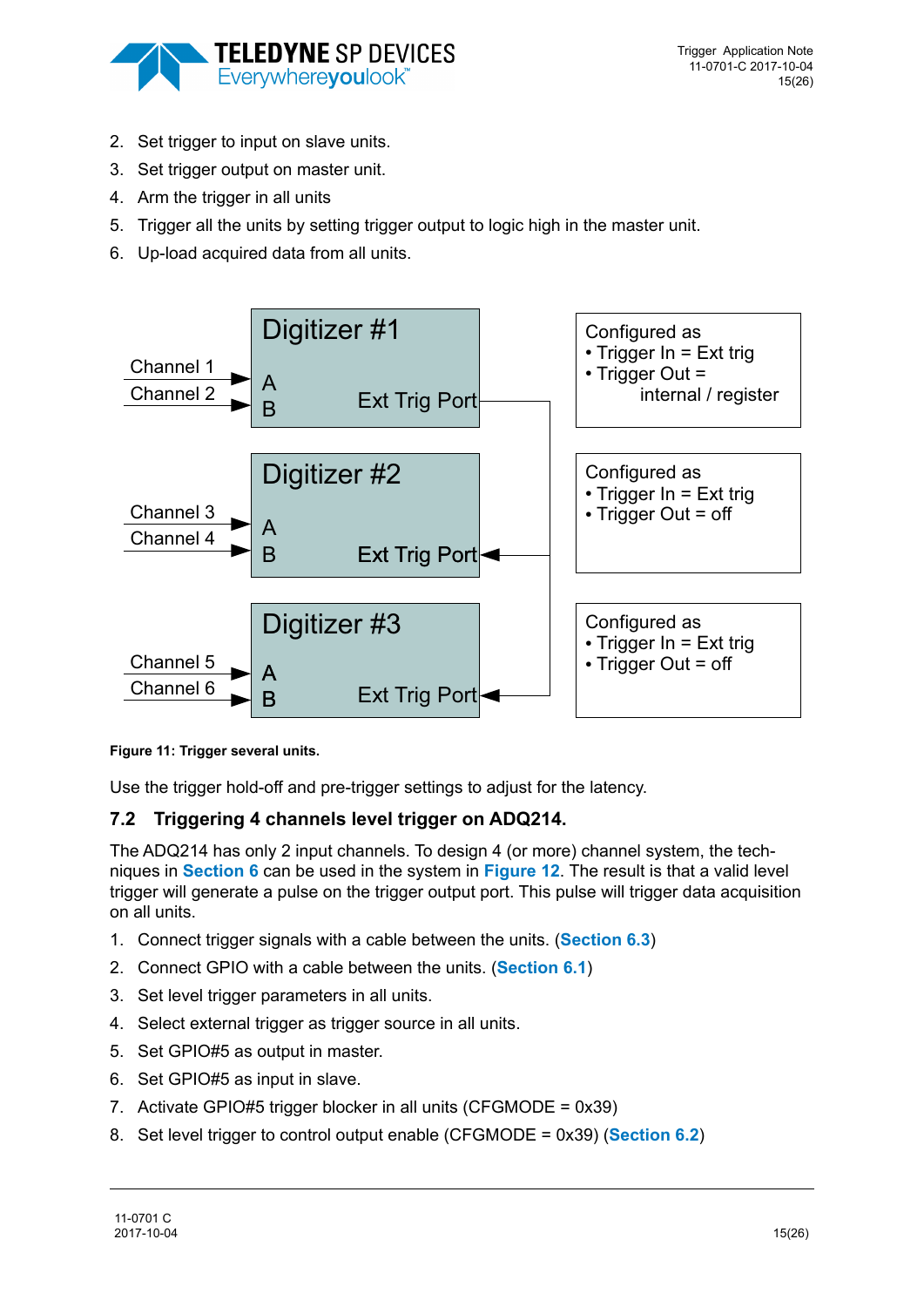

- 2. Set trigger to input on slave units.
- 3. Set trigger output on master unit.
- 4. Arm the trigger in all units
- 5. Trigger all the units by setting trigger output to logic high in the master unit.
- 6. Up-load acquired data from all units.



<span id="page-14-1"></span>**Figure 11: Trigger several units.** 

Use the trigger hold-off and pre-trigger settings to adjust for the latency.

# <span id="page-14-0"></span>**7.2 Triggering 4 channels level trigger on ADQ214.**

The ADQ214 has only 2 input channels. To design 4 (or more) channel system, the techniques in **[Section 6](#page-11-5)** can be used in the system in **[Figure 12](#page-15-0)**. The result is that a valid level trigger will generate a pulse on the trigger output port. This pulse will trigger data acquisition on all units.

- 1. Connect trigger signals with a cable between the units. (**[Section 6.3](#page-12-1)**)
- 2. Connect GPIO with a cable between the units. (**[Section 6.1](#page-11-1)**)
- 3. Set level trigger parameters in all units.
- 4. Select external trigger as trigger source in all units.
- 5. Set GPIO#5 as output in master.
- 6. Set GPIO#5 as input in slave.
- 7. Activate GPIO#5 trigger blocker in all units (CFGMODE = 0x39)
- 8. Set level trigger to control output enable (CFGMODE = 0x39) (**[Section 6.2](#page-12-0)**)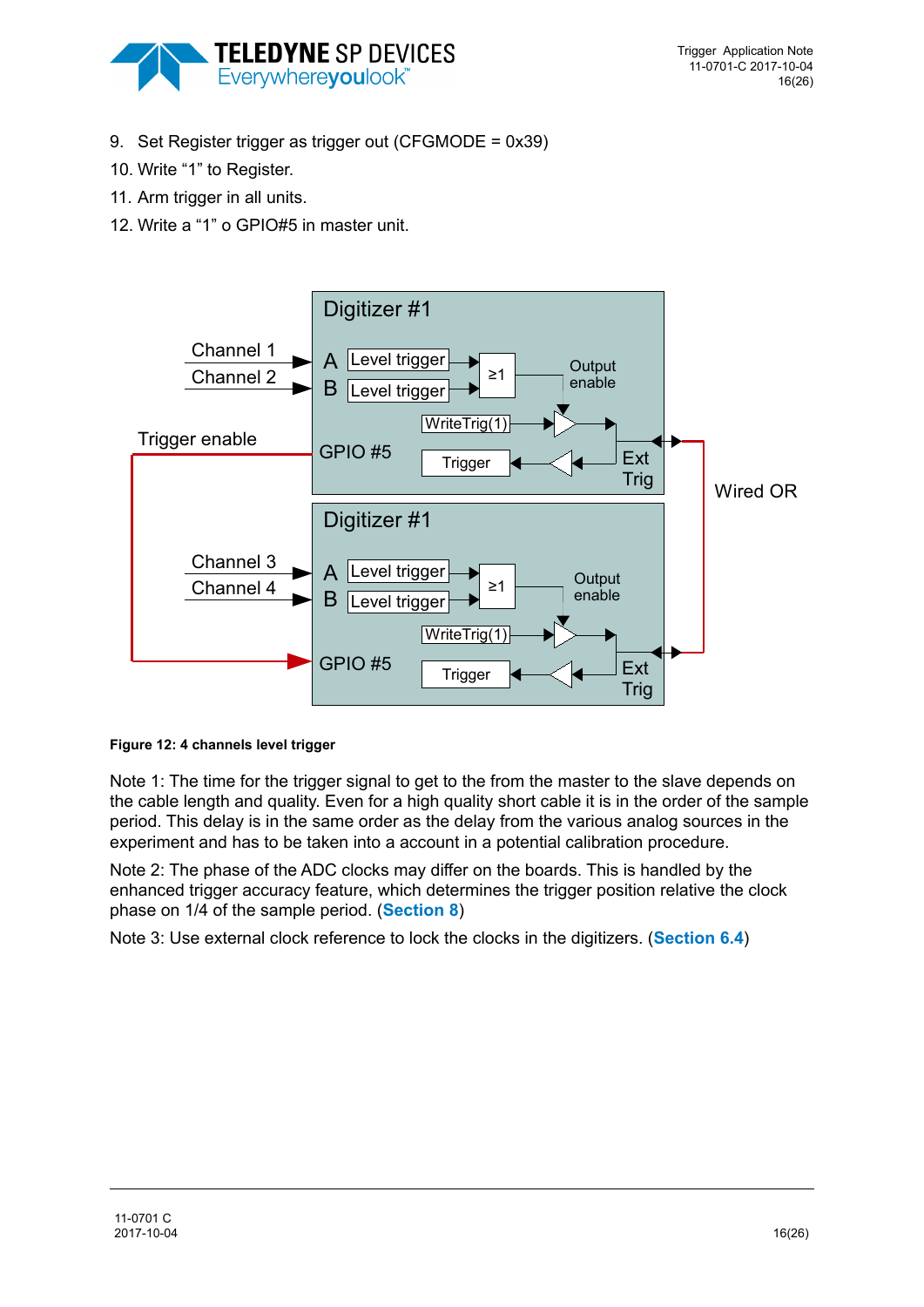

- 9. Set Register trigger as trigger out (CFGMODE = 0x39)
- 10. Write "1" to Register.
- 11. Arm trigger in all units.
- 12. Write a "1" o GPIO#5 in master unit.



<span id="page-15-0"></span>**Figure 12: 4 channels level trigger**

Note 1: The time for the trigger signal to get to the from the master to the slave depends on the cable length and quality. Even for a high quality short cable it is in the order of the sample period. This delay is in the same order as the delay from the various analog sources in the experiment and has to be taken into a account in a potential calibration procedure.

Note 2: The phase of the ADC clocks may differ on the boards. This is handled by the enhanced trigger accuracy feature, which determines the trigger position relative the clock phase on 1/4 of the sample period. (**[Section 8](#page-17-0)**)

Note 3: Use external clock reference to lock the clocks in the digitizers. (**[Section 6.4](#page-13-0)**)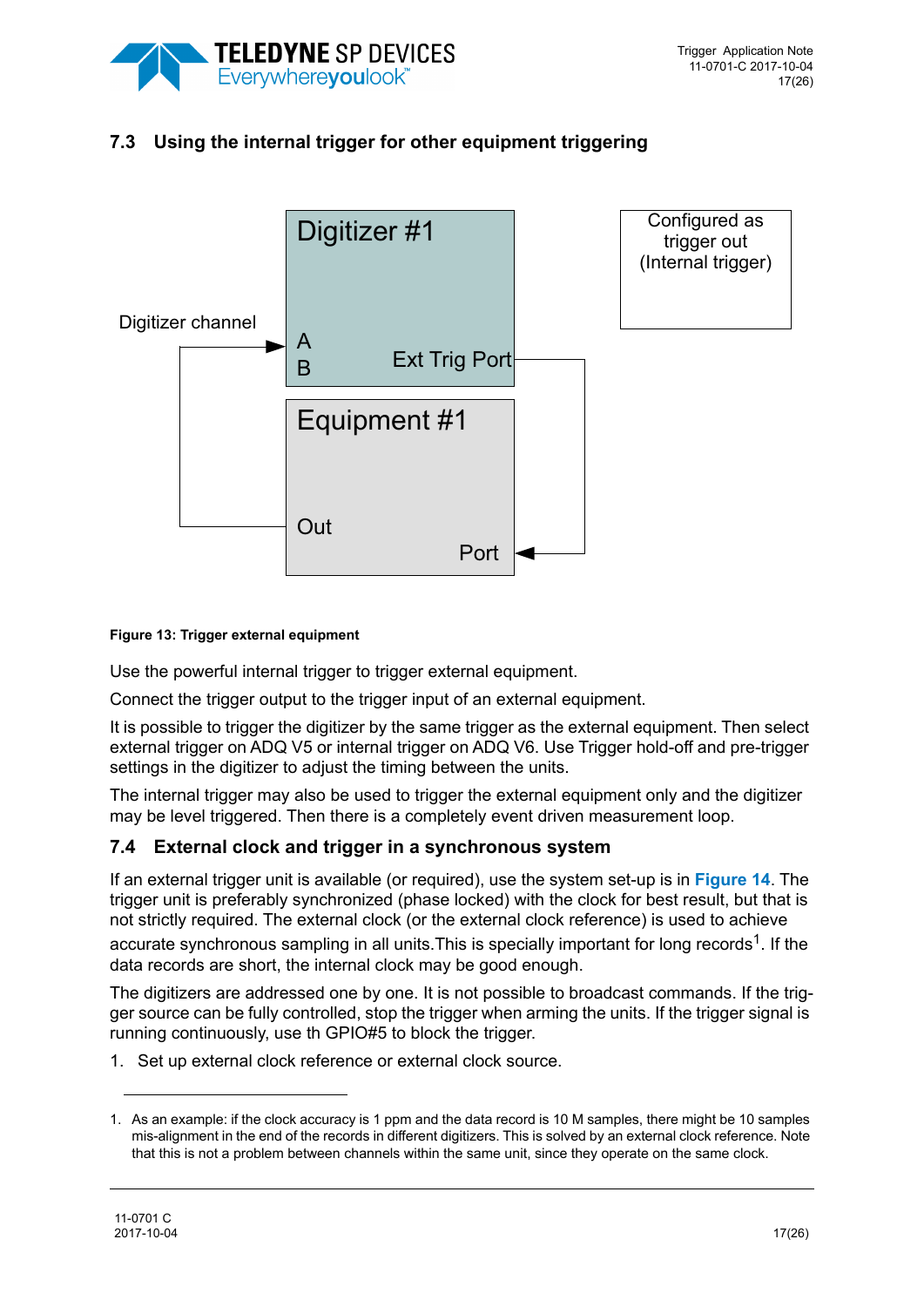

# **7.3 Using the internal trigger for other equipment triggering**



#### **Figure 13: Trigger external equipment**

Use the powerful internal trigger to trigger external equipment.

Connect the trigger output to the trigger input of an external equipment.

It is possible to trigger the digitizer by the same trigger as the external equipment. Then select external trigger on ADQ V5 or internal trigger on ADQ V6. Use Trigger hold-off and pre-trigger settings in the digitizer to adjust the timing between the units.

The internal trigger may also be used to trigger the external equipment only and the digitizer may be level triggered. Then there is a completely event driven measurement loop.

### **7.4 External clock and trigger in a synchronous system**

If an external trigger unit is available (or required), use the system set-up is in **[Figure 14](#page-17-1)**. The trigger unit is preferably synchronized (phase locked) with the clock for best result, but that is not strictly required. The external clock (or the external clock reference) is used to achieve

accurate synchronous sampling in all units. This is specially important for long records<sup>1</sup>. If the data records are short, the internal clock may be good enough.

The digitizers are addressed one by one. It is not possible to broadcast commands. If the trigger source can be fully controlled, stop the trigger when arming the units. If the trigger signal is running continuously, use th GPIO#5 to block the trigger.

1. Set up external clock reference or external clock source.

<sup>1.</sup> As an example: if the clock accuracy is 1 ppm and the data record is 10 M samples, there might be 10 samples mis-alignment in the end of the records in different digitizers. This is solved by an external clock reference. Note that this is not a problem between channels within the same unit, since they operate on the same clock.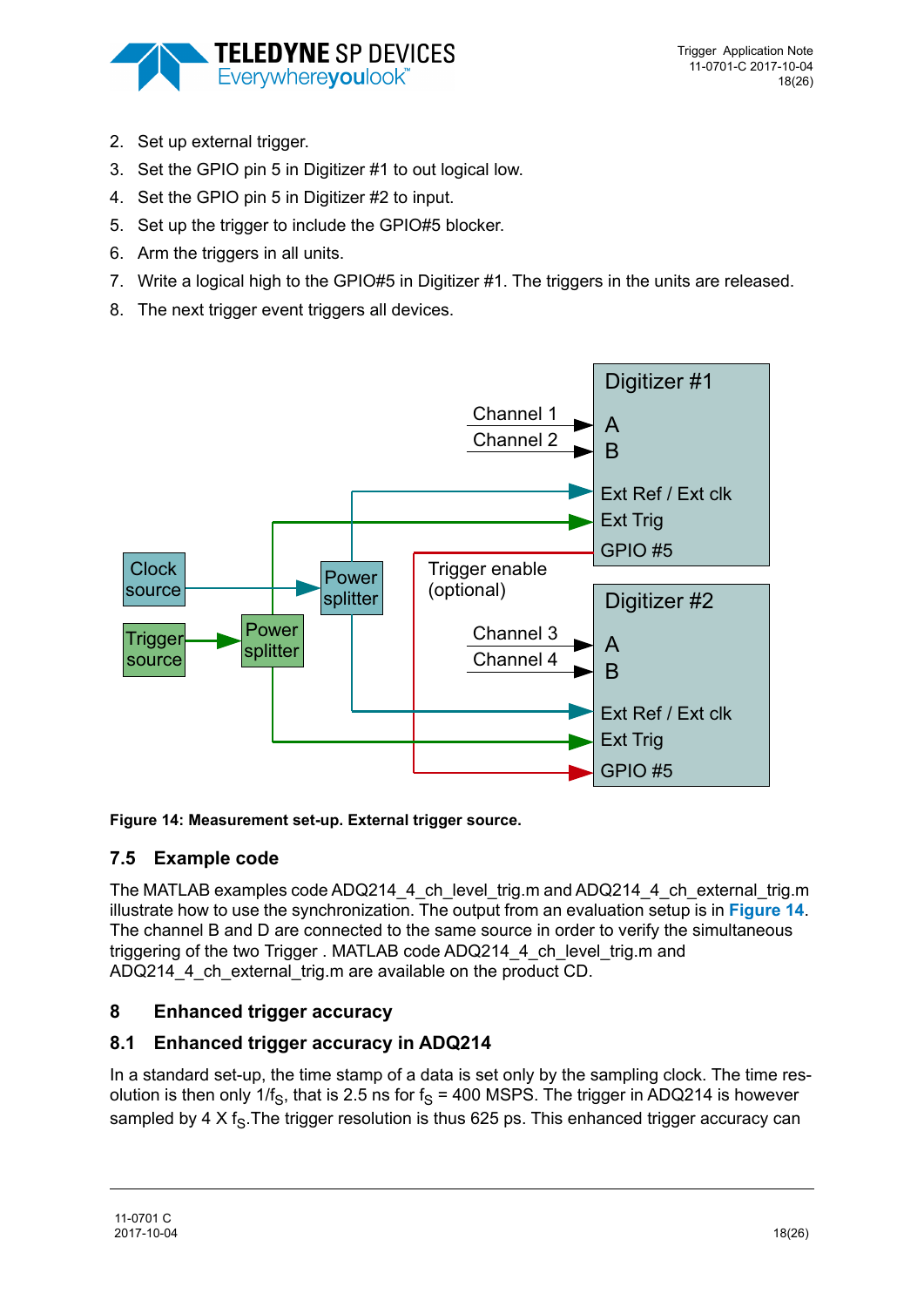

- 2. Set up external trigger.
- 3. Set the GPIO pin 5 in Digitizer #1 to out logical low.
- 4. Set the GPIO pin 5 in Digitizer #2 to input.
- 5. Set up the trigger to include the GPIO#5 blocker.
- 6. Arm the triggers in all units.
- 7. Write a logical high to the GPIO#5 in Digitizer #1. The triggers in the units are released.
- 8. The next trigger event triggers all devices.



### <span id="page-17-1"></span>**Figure 14: Measurement set-up. External trigger source.**

## **7.5 Example code**

The MATLAB examples code ADQ214\_4 ch\_level\_trig.m and ADQ214\_4\_ch\_external\_trig.m illustrate how to use the synchronization. The output from an evaluation setup is in **[Figure 14](#page-17-1)**. The channel B and D are connected to the same source in order to verify the simultaneous triggering of the two Trigger . MATLAB code ADQ214\_4\_ch\_level\_trig.m and ADQ214\_4\_ch\_external\_trig.m are available on the product CD.

# <span id="page-17-0"></span>**8 Enhanced trigger accuracy**

# **8.1 Enhanced trigger accuracy in ADQ214**

In a standard set-up, the time stamp of a data is set only by the sampling clock. The time resolution is then only 1/f<sub>S</sub>, that is 2.5 ns for f<sub>S</sub> = 400 MSPS. The trigger in ADQ214 is however sampled by 4 X  $f_s$ . The trigger resolution is thus 625 ps. This enhanced trigger accuracy can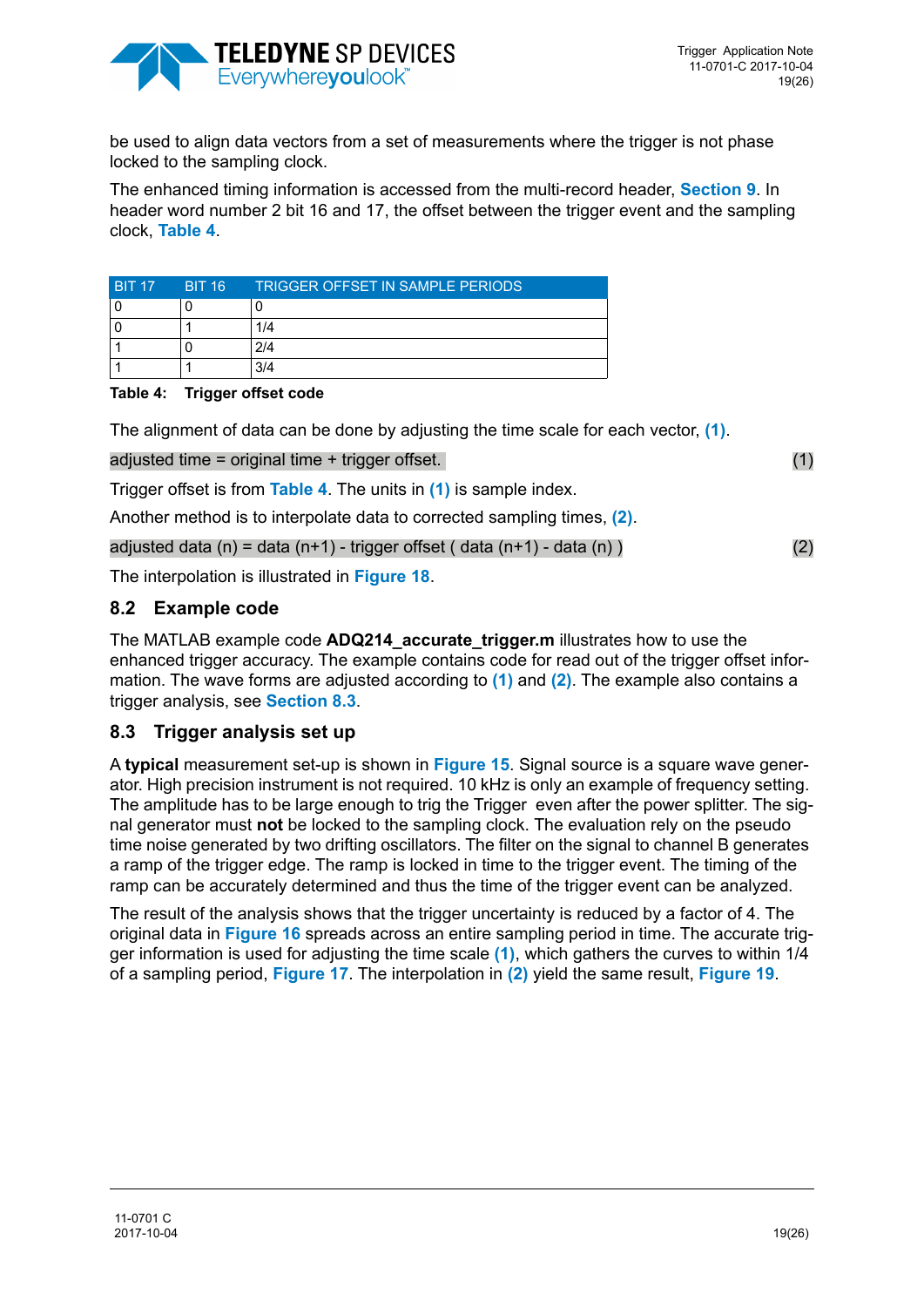

be used to align data vectors from a set of measurements where the trigger is not phase locked to the sampling clock.

The enhanced timing information is accessed from the multi-record header, **[Section 9](#page-20-0)**. In header word number 2 bit 16 and 17, the offset between the trigger event and the sampling clock, **[Table 4](#page-18-0)**.

| <b>BIT 17</b> | BIT 16 | <b>TRIGGER OFFSET IN SAMPLE PERIODS</b> |
|---------------|--------|-----------------------------------------|
|               |        |                                         |
|               |        | 1/4                                     |
|               |        | 2/4                                     |
|               |        | 3/4                                     |

#### <span id="page-18-0"></span>**Table 4: Trigger offset code**

The alignment of data can be done by adjusting the time scale for each vector, **[\(1\)](#page-18-1)**.

<span id="page-18-1"></span>adjusted time = original time + trigger offset.  $(1)$ 

Trigger offset is from **[Table 4](#page-18-0)**. The units in **[\(1\)](#page-18-1)** is sample index.

Another method is to interpolate data to corrected sampling times, **[\(2\)](#page-18-2)**.

<span id="page-18-2"></span>adjusted data  $(n)$  = data  $(n+1)$  - trigger offset ( data  $(n+1)$  - data  $(n)$  ) (2)

The interpolation is illustrated in **[Figure 18](#page-19-0)**.

### **8.2 Example code**

The MATLAB example code **ADQ214\_accurate\_trigger.m** illustrates how to use the enhanced trigger accuracy. The example contains code for read out of the trigger offset information. The wave forms are adjusted according to **[\(1\)](#page-18-1)** and **[\(2\)](#page-18-2)**. The example also contains a trigger analysis, see **[Section 8.3](#page-18-3)**.

### <span id="page-18-3"></span>**8.3 Trigger analysis set up**

A **typical** measurement set-up is shown in **[Figure 15](#page-19-1)**. Signal source is a square wave generator. High precision instrument is not required. 10 kHz is only an example of frequency setting. The amplitude has to be large enough to trig the Trigger even after the power splitter. The signal generator must **not** be locked to the sampling clock. The evaluation rely on the pseudo time noise generated by two drifting oscillators. The filter on the signal to channel B generates a ramp of the trigger edge. The ramp is locked in time to the trigger event. The timing of the ramp can be accurately determined and thus the time of the trigger event can be analyzed.

The result of the analysis shows that the trigger uncertainty is reduced by a factor of 4. The original data in **[Figure 16](#page-19-2)** spreads across an entire sampling period in time. The accurate trigger information is used for adjusting the time scale **[\(1\)](#page-18-1)**, which gathers the curves to within 1/4 of a sampling period, **[Figure 17](#page-19-3)**. The interpolation in **[\(2\)](#page-18-2)** yield the same result, **[Figure 19](#page-19-4)**.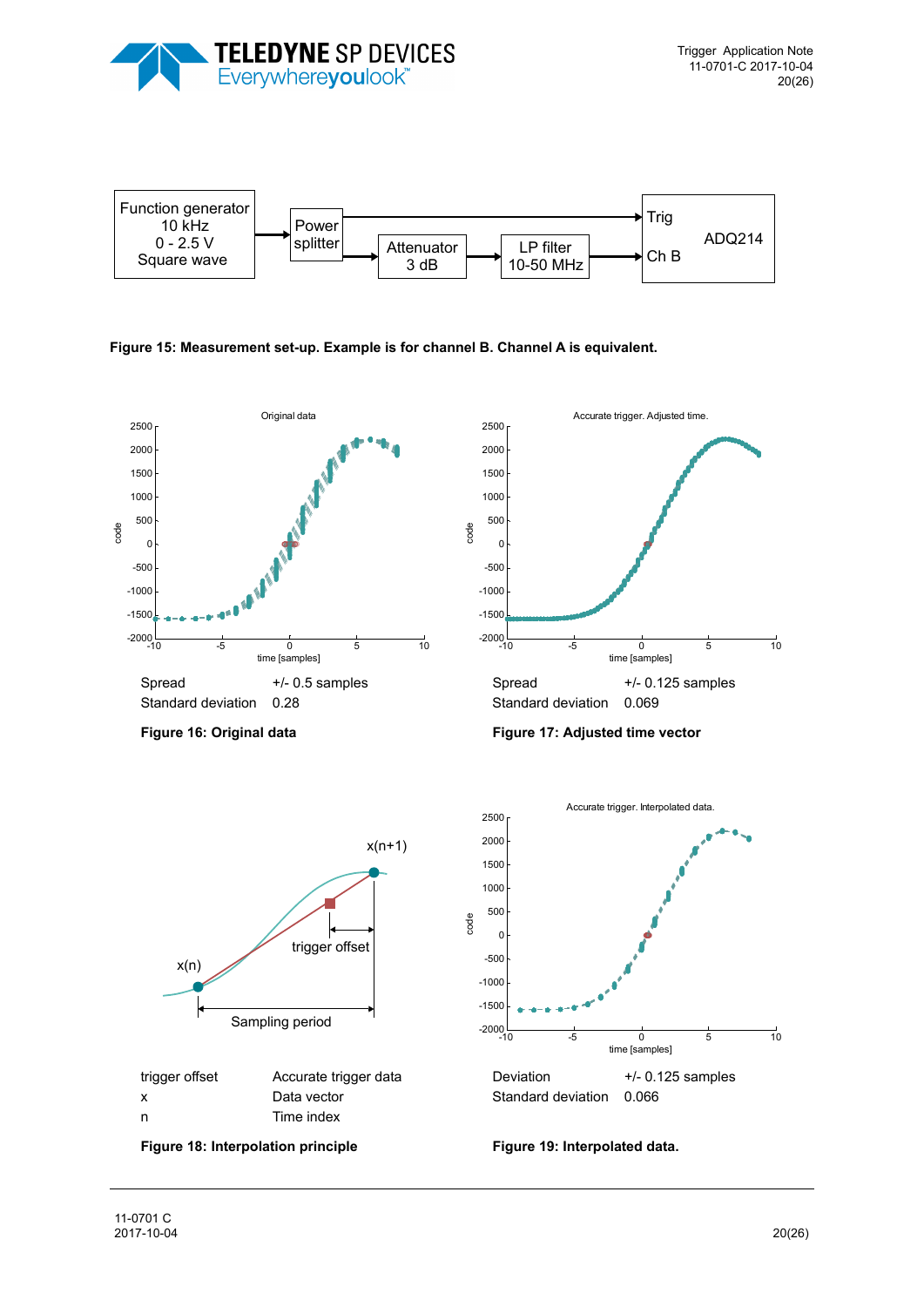



<span id="page-19-1"></span>**Figure 15: Measurement set-up. Example is for channel B. Channel A is equivalent.** 

<span id="page-19-4"></span><span id="page-19-3"></span><span id="page-19-2"></span><span id="page-19-0"></span>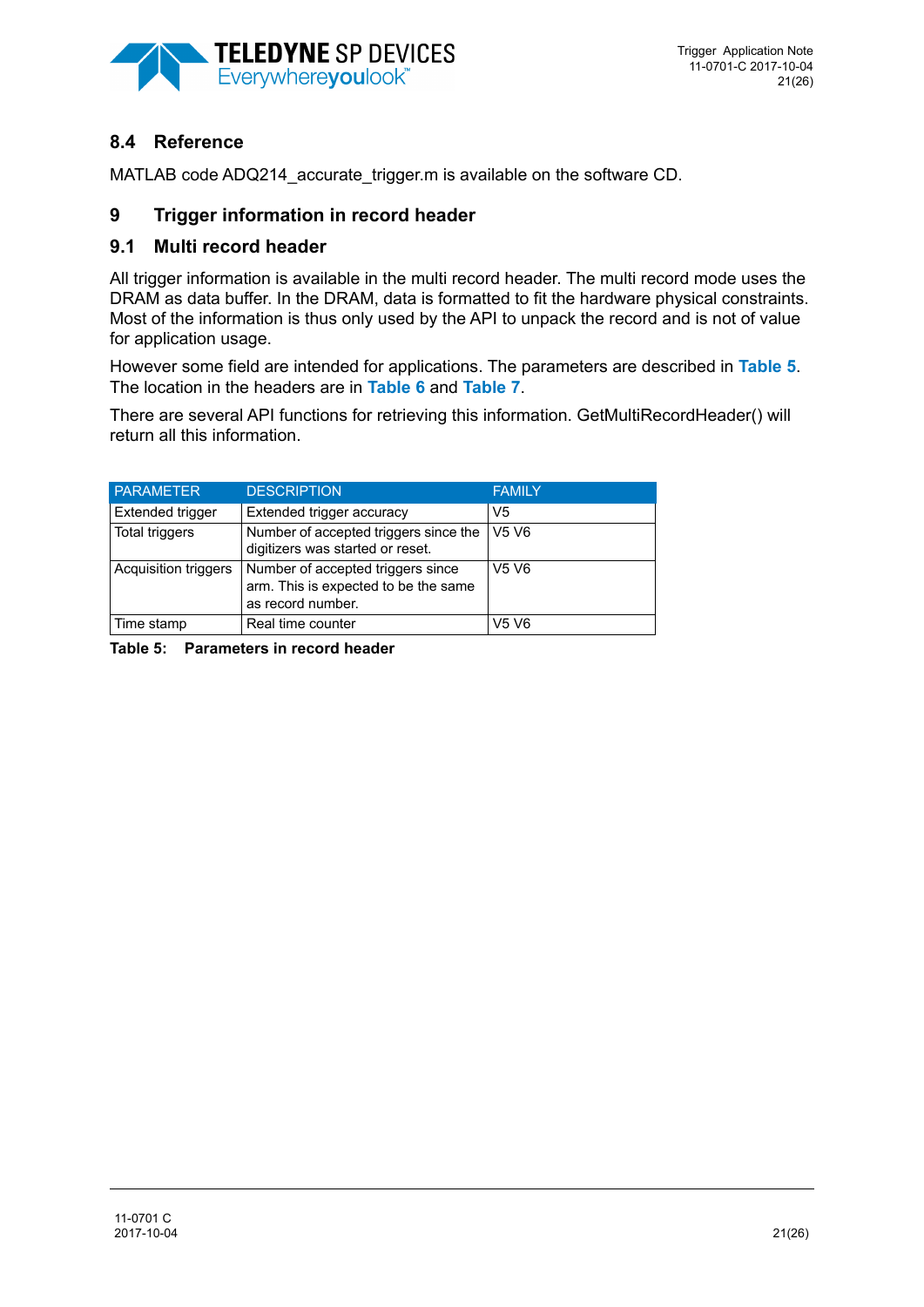![](_page_20_Picture_0.jpeg)

# **8.4 Reference**

MATLAB code ADQ214 accurate trigger.m is available on the software CD.

## <span id="page-20-0"></span>**9 Trigger information in record header**

## **9.1 Multi record header**

All trigger information is available in the multi record header. The multi record mode uses the DRAM as data buffer. In the DRAM, data is formatted to fit the hardware physical constraints. Most of the information is thus only used by the API to unpack the record and is not of value for application usage.

However some field are intended for applications. The parameters are described in **[Table 5](#page-20-1)**. The location in the headers are in **[Table 6](#page-21-0)** and **[Table 7](#page-22-0)**.

There are several API functions for retrieving this information. GetMultiRecordHeader() will return all this information.

| <b>PARAMETER</b>     | <b>DESCRIPTION</b>                                                                             | <b>FAMILY</b>                 |
|----------------------|------------------------------------------------------------------------------------------------|-------------------------------|
| Extended trigger     | Extended trigger accuracy                                                                      | V <sub>5</sub>                |
| Total triggers       | Number of accepted triggers since the<br>digitizers was started or reset.                      | V <sub>5</sub> V <sub>6</sub> |
| Acquisition triggers | Number of accepted triggers since<br>arm. This is expected to be the same<br>as record number. | V <sub>5</sub> V <sub>6</sub> |
| Time stamp           | Real time counter                                                                              | V <sub>5</sub> V <sub>6</sub> |

<span id="page-20-1"></span>**Table 5: Parameters in record header**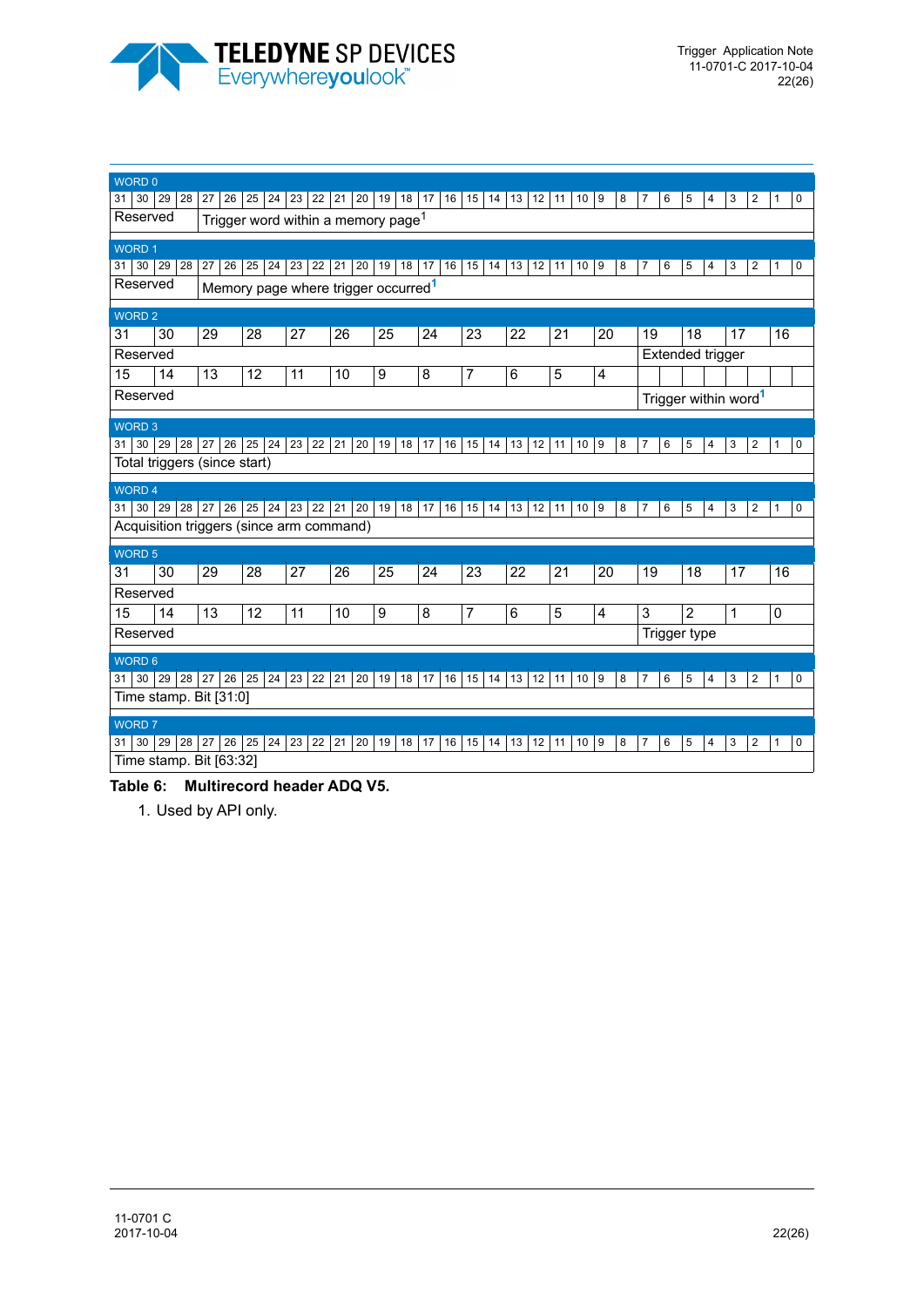![](_page_21_Picture_0.jpeg)

| WORD 0            |             |                                          |                 |          |                                                 |                  |                       |                 |                 |                       |                 |            |                                  |                     |        |
|-------------------|-------------|------------------------------------------|-----------------|----------|-------------------------------------------------|------------------|-----------------------|-----------------|-----------------|-----------------------|-----------------|------------|----------------------------------|---------------------|--------|
| 31                | 30 29<br>28 | 27<br>26                                 | 25<br>24        | 23<br>22 | 21<br>20                                        | 19<br>18         | 17 <sup>1</sup><br>16 | 15<br>14        | 13<br>12        | 11<br>10              | 9<br>8          | 6<br>7     | 5<br>4                           | 2<br>3              | 0<br>1 |
| Reserved          |             |                                          |                 |          | Trigger word within a memory page <sup>1</sup>  |                  |                       |                 |                 |                       |                 |            |                                  |                     |        |
| <b>WORD1</b>      |             |                                          |                 |          |                                                 |                  |                       |                 |                 |                       |                 |            |                                  |                     |        |
| 30<br>31          | 29<br>28    | 26<br>27                                 | 25<br>24        | 23<br>22 | 21<br>20                                        | 19<br>18         | 16<br>17              | 15<br>14        | 13 12           | 10 <sup>1</sup><br>11 | 9<br>8          | 7<br>6     | 5<br>4                           | 3<br>2              | 0<br>1 |
| Reserved          |             |                                          |                 |          | Memory page where trigger occurred <sup>1</sup> |                  |                       |                 |                 |                       |                 |            |                                  |                     |        |
| <b>WORD 2</b>     |             |                                          |                 |          |                                                 |                  |                       |                 |                 |                       |                 |            |                                  |                     |        |
| 31                | 30          | 29                                       | 28              | 27       | 26                                              | $\overline{25}$  | $\overline{24}$       | $\overline{23}$ | $\overline{22}$ | $\overline{21}$       | $\overline{20}$ | 19         | 18                               | 17                  | 16     |
| Reserved          |             |                                          |                 |          |                                                 |                  |                       |                 |                 |                       |                 |            | Extended trigger                 |                     |        |
| 15                | 14          | 13                                       | 12              | 11       | 10                                              | 9                | 8                     | 7               | 6               | 5                     | 4               |            |                                  |                     |        |
| Reserved          |             |                                          |                 |          |                                                 |                  |                       |                 |                 |                       |                 |            | Trigger within word <sup>1</sup> |                     |        |
| <b>WORD 3</b>     |             |                                          |                 |          |                                                 |                  |                       |                 |                 |                       |                 |            |                                  |                     |        |
| 30<br>31          | 29<br>28    | 26<br>27                                 | 25<br>24        | 23       | 22 21<br>20                                     | 19<br>18         | 17<br>16              | 15<br>14        | 13<br>12        | 11<br>10              | 9<br>8          | 6<br>7     | 5<br>4                           | $\overline{2}$<br>3 | 0<br>1 |
|                   |             | Total triggers (since start)             |                 |          |                                                 |                  |                       |                 |                 |                       |                 |            |                                  |                     |        |
| WORD <sub>4</sub> |             |                                          |                 |          |                                                 |                  |                       |                 |                 |                       |                 |            |                                  |                     |        |
| 30 29<br>31       | 28          | 27<br>26                                 | 25<br>24        | 23<br>22 | 21<br>20                                        | 19<br>18         | 17<br>16              | 15<br>14        | 13<br>12        | 11<br>10              | 9<br>8          | 6<br>7     | 5<br>4                           | 3<br>2              | 0<br>1 |
|                   |             |                                          |                 |          |                                                 |                  |                       |                 |                 |                       |                 |            |                                  |                     |        |
|                   |             | Acquisition triggers (since arm command) |                 |          |                                                 |                  |                       |                 |                 |                       |                 |            |                                  |                     |        |
| WORD 5            |             |                                          |                 |          |                                                 |                  |                       |                 |                 |                       |                 |            |                                  |                     |        |
| $\overline{31}$   | 30          | 29                                       | $\overline{28}$ | 27       | $\overline{26}$                                 | $\overline{25}$  | $\overline{24}$       | $\overline{23}$ | $\overline{22}$ | $\overline{21}$       | 20              | 19         | 18                               | 17                  | 16     |
| Reserved          |             |                                          |                 |          |                                                 |                  |                       |                 |                 |                       |                 |            |                                  |                     |        |
| 15                | 14          | 13                                       | 12              | 11       | 10                                              | $\boldsymbol{9}$ | 8                     | 7               | 6               | 5                     | 4               | $\sqrt{3}$ | $\overline{c}$                   | 1                   | 0      |
| Reserved          |             |                                          |                 |          |                                                 |                  |                       |                 |                 |                       |                 |            | Trigger type                     |                     |        |
| <b>WORD 6</b>     |             |                                          |                 |          |                                                 |                  |                       |                 |                 |                       |                 |            |                                  |                     |        |
| 31                | 30 29<br>28 | 27<br>26                                 | 25<br>24        | 23<br>22 | 21<br>20                                        | 19<br>18         | 17<br>16              | 15<br>14        | 13<br>12        | 11<br>10              | 9<br>8          | 7<br>6     | 5<br>4                           | 3<br>$\overline{2}$ | 0<br>1 |
|                   |             | Time stamp. Bit [31:0]                   |                 |          |                                                 |                  |                       |                 |                 |                       |                 |            |                                  |                     |        |
| <b>WORD 7</b>     |             |                                          |                 |          |                                                 |                  |                       |                 |                 |                       |                 |            |                                  |                     |        |
| 30<br>31          | 29<br>28    | 27<br>26                                 | 25<br>24        | 23<br>22 | 21<br>20                                        | 19<br>18         | 16<br>17              | 15<br>14        | 13<br>12        | 10<br>11              | 9<br>8          | 6<br>7     | 5<br>4                           | 3<br>$\overline{2}$ | 0<br>1 |

#### <span id="page-21-1"></span><span id="page-21-0"></span>**Table 6: Multirecord header ADQ V5.**

1. Used by API only.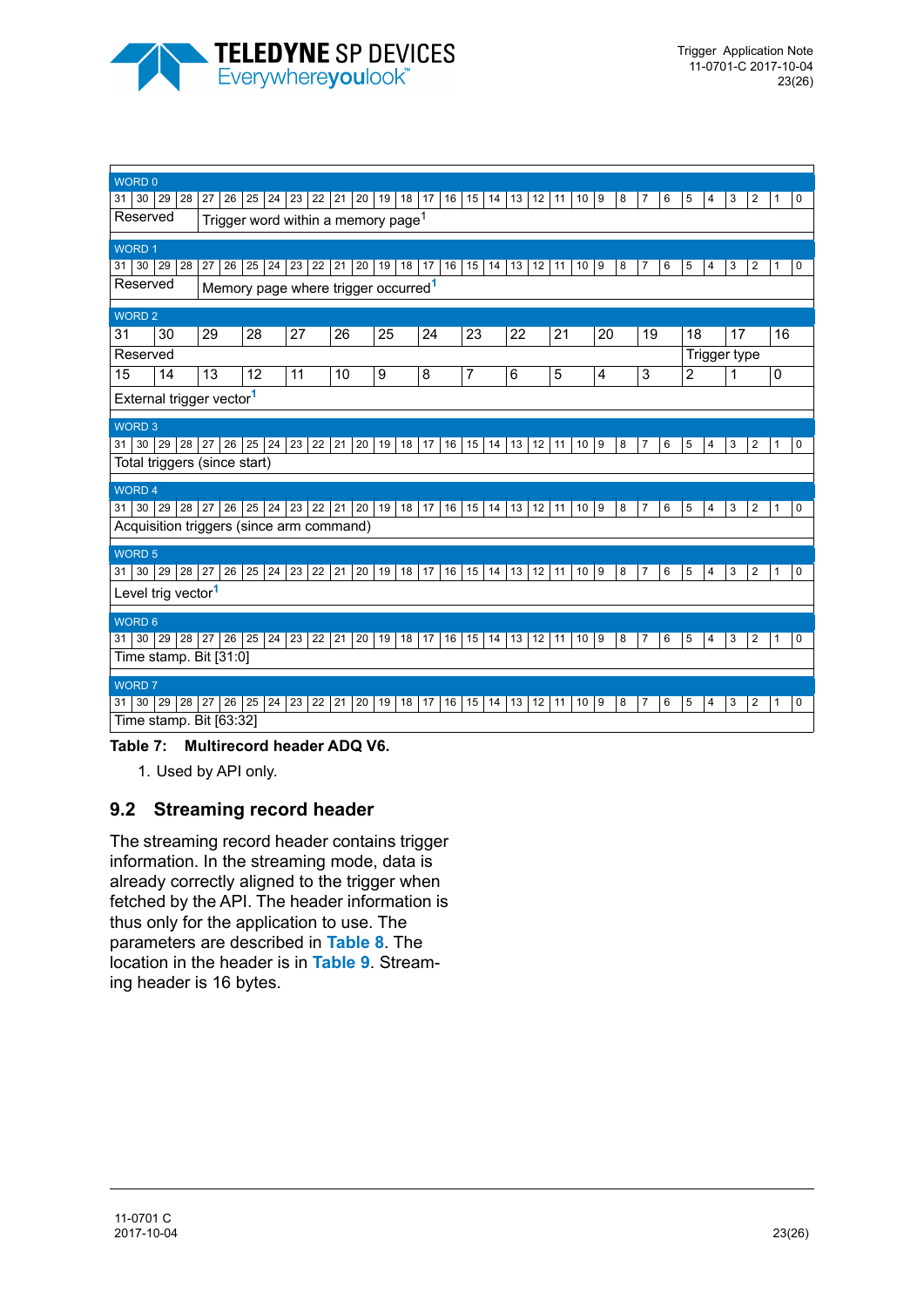![](_page_22_Picture_0.jpeg)

| WORD 0                                   |                 |           |       |                                                 |              |    |    |    |    |    |    |           |    |                |    |    |         |    |                 |    |   |    |   |    |   |              |                |    |   |
|------------------------------------------|-----------------|-----------|-------|-------------------------------------------------|--------------|----|----|----|----|----|----|-----------|----|----------------|----|----|---------|----|-----------------|----|---|----|---|----|---|--------------|----------------|----|---|
| 30 <sup>°</sup><br>29<br>31              | 28              | 27        | 26    | 25                                              | 24           | 23 | 22 | 21 | 20 | 19 |    | 18 17     | 16 | 15             | 14 | 13 | 12      | 11 | 10 <sup>1</sup> | 9  | 8 | 7  | 6 | 5  | 4 | 3            | 2              | 1  | 0 |
| Reserved                                 |                 |           |       | Trigger word within a memory page <sup>1</sup>  |              |    |    |    |    |    |    |           |    |                |    |    |         |    |                 |    |   |    |   |    |   |              |                |    |   |
|                                          |                 |           |       |                                                 |              |    |    |    |    |    |    |           |    |                |    |    |         |    |                 |    |   |    |   |    |   |              |                |    |   |
| <b>WORD1</b>                             |                 |           |       |                                                 |              |    |    |    |    |    |    |           |    |                |    |    |         |    |                 |    |   |    |   |    |   |              |                |    |   |
| 29<br>30 <br>31                          | 28              | 27        | 26    | 25                                              | 24           | 23 | 22 | 21 | 20 | 19 | 18 | 17        | 16 | 15             | 14 | 13 | 12      | 11 | 10              | 9  | 8 | 7  | 6 | 5  | 4 | 3            | $\overline{2}$ | 1  | 0 |
| Reserved                                 |                 |           |       | Memory page where trigger occurred <sup>1</sup> |              |    |    |    |    |    |    |           |    |                |    |    |         |    |                 |    |   |    |   |    |   |              |                |    |   |
| <b>WORD 2</b>                            |                 |           |       |                                                 |              |    |    |    |    |    |    |           |    |                |    |    |         |    |                 |    |   |    |   |    |   |              |                |    |   |
| 31<br>30                                 |                 | 29        |       | 28                                              |              | 27 |    | 26 |    | 25 |    | 24        |    | 23             |    | 22 |         | 21 |                 | 20 |   | 19 |   | 18 |   | 17           |                | 16 |   |
| Reserved                                 |                 |           |       |                                                 |              |    |    |    |    |    |    |           |    |                |    |    |         |    |                 |    |   |    |   |    |   | Trigger type |                |    |   |
| 15<br>14                                 |                 | 13        |       | 12                                              |              | 11 |    | 10 |    | 9  |    | 8         |    | $\overline{7}$ |    | 6  |         | 5  |                 | 4  |   | 3  |   | 2  |   | 1            |                | 0  |   |
|                                          |                 |           |       |                                                 |              |    |    |    |    |    |    |           |    |                |    |    |         |    |                 |    |   |    |   |    |   |              |                |    |   |
| External trigger vector <sup>1</sup>     |                 |           |       |                                                 |              |    |    |    |    |    |    |           |    |                |    |    |         |    |                 |    |   |    |   |    |   |              |                |    |   |
| <b>WORD 3</b>                            |                 |           |       |                                                 |              |    |    |    |    |    |    |           |    |                |    |    |         |    |                 |    |   |    |   |    |   |              |                |    |   |
| 30<br>29<br>31                           | 28              |           | 27 26 | 25                                              | $24 \mid 23$ |    | 22 | 21 | 20 | 19 | 18 | 17        | 16 | 15             | 14 | 13 | 12      | 11 | 10              | 9  | 8 | 7  | 6 | 5  | 4 | 3            | 2              | 1  | 0 |
| Total triggers (since start)             |                 |           |       |                                                 |              |    |    |    |    |    |    |           |    |                |    |    |         |    |                 |    |   |    |   |    |   |              |                |    |   |
| <b>WORD 4</b>                            |                 |           |       |                                                 |              |    |    |    |    |    |    |           |    |                |    |    |         |    |                 |    |   |    |   |    |   |              |                |    |   |
| 30 29<br>31                              | 28              |           | 27 26 | 25                                              | 24 23        |    | 22 | 21 | 20 | 19 |    | 18 17     | 16 | 15             | 14 | 13 | 12      | 11 | 10              | 9  | 8 |    | 6 | 5  | 4 | 3            | 2              |    | 0 |
| Acquisition triggers (since arm command) |                 |           |       |                                                 |              |    |    |    |    |    |    |           |    |                |    |    |         |    |                 |    |   |    |   |    |   |              |                |    |   |
|                                          |                 |           |       |                                                 |              |    |    |    |    |    |    |           |    |                |    |    |         |    |                 |    |   |    |   |    |   |              |                |    |   |
| <b>WORD 5</b>                            |                 |           |       |                                                 |              |    |    |    |    |    |    |           |    |                |    |    |         |    |                 |    |   |    |   |    |   |              |                |    |   |
| 30<br>29<br>31                           | 28              | 27        | 26    | 25                                              | $24 \mid 23$ |    | 22 | 21 | 20 | 19 |    | $18$   17 | 16 | 15             | 14 | 13 | $12$ 11 |    | 10              | 9  | 8 | 7  | 6 | 5  | 4 | 3            | 2              | 1  | 0 |
| Level trig vector <sup>1</sup>           |                 |           |       |                                                 |              |    |    |    |    |    |    |           |    |                |    |    |         |    |                 |    |   |    |   |    |   |              |                |    |   |
| <b>WORD 6</b>                            |                 |           |       |                                                 |              |    |    |    |    |    |    |           |    |                |    |    |         |    |                 |    |   |    |   |    |   |              |                |    |   |
| 29<br>30 <br>31                          | 28              | $27 \mid$ | 26    | 25                                              | $24 \mid 23$ |    | 22 | 21 | 20 | 19 |    | $18$   17 | 16 | 15             | 14 | 13 | 12 11   |    | 10 9            |    | 8 | 7  | 6 | 5  | 4 | 3            | 2              | 1  | 0 |
| Time stamp. Bit [31:0]                   |                 |           |       |                                                 |              |    |    |    |    |    |    |           |    |                |    |    |         |    |                 |    |   |    |   |    |   |              |                |    |   |
|                                          |                 |           |       |                                                 |              |    |    |    |    |    |    |           |    |                |    |    |         |    |                 |    |   |    |   |    |   |              |                |    |   |
| <b>WORD 7</b>                            |                 |           |       |                                                 |              |    |    |    |    |    |    |           |    |                |    |    |         |    |                 |    |   |    |   |    |   |              |                |    |   |
| 30 <br>29<br>31                          | 28 <sup>2</sup> |           | 27 26 | 25                                              | $24 \mid 23$ |    | 22 | 21 | 20 | 19 |    | $18$   17 | 16 | 15             | 14 | 13 | 12      | 11 | 10 9            |    | 8 | 7  | 6 | 5  | 4 | 3            | 2              | 1  | 0 |
| Time stamp. Bit [63:32]                  |                 |           |       |                                                 |              |    |    |    |    |    |    |           |    |                |    |    |         |    |                 |    |   |    |   |    |   |              |                |    |   |
| Table 7:                                 |                 |           |       | <b>Multirecord header ADQ V6.</b>               |              |    |    |    |    |    |    |           |    |                |    |    |         |    |                 |    |   |    |   |    |   |              |                |    |   |

<span id="page-22-1"></span><span id="page-22-0"></span>1. Used by API only.

## **9.2 Streaming record header**

The streaming record header contains trigger information. In the streaming mode, data is already correctly aligned to the trigger when fetched by the API. The header information is thus only for the application to use. The parameters are described in **[Table 8](#page-23-0)**. The location in the header is in **[Table 9](#page-23-1)**. Streaming header is 16 bytes.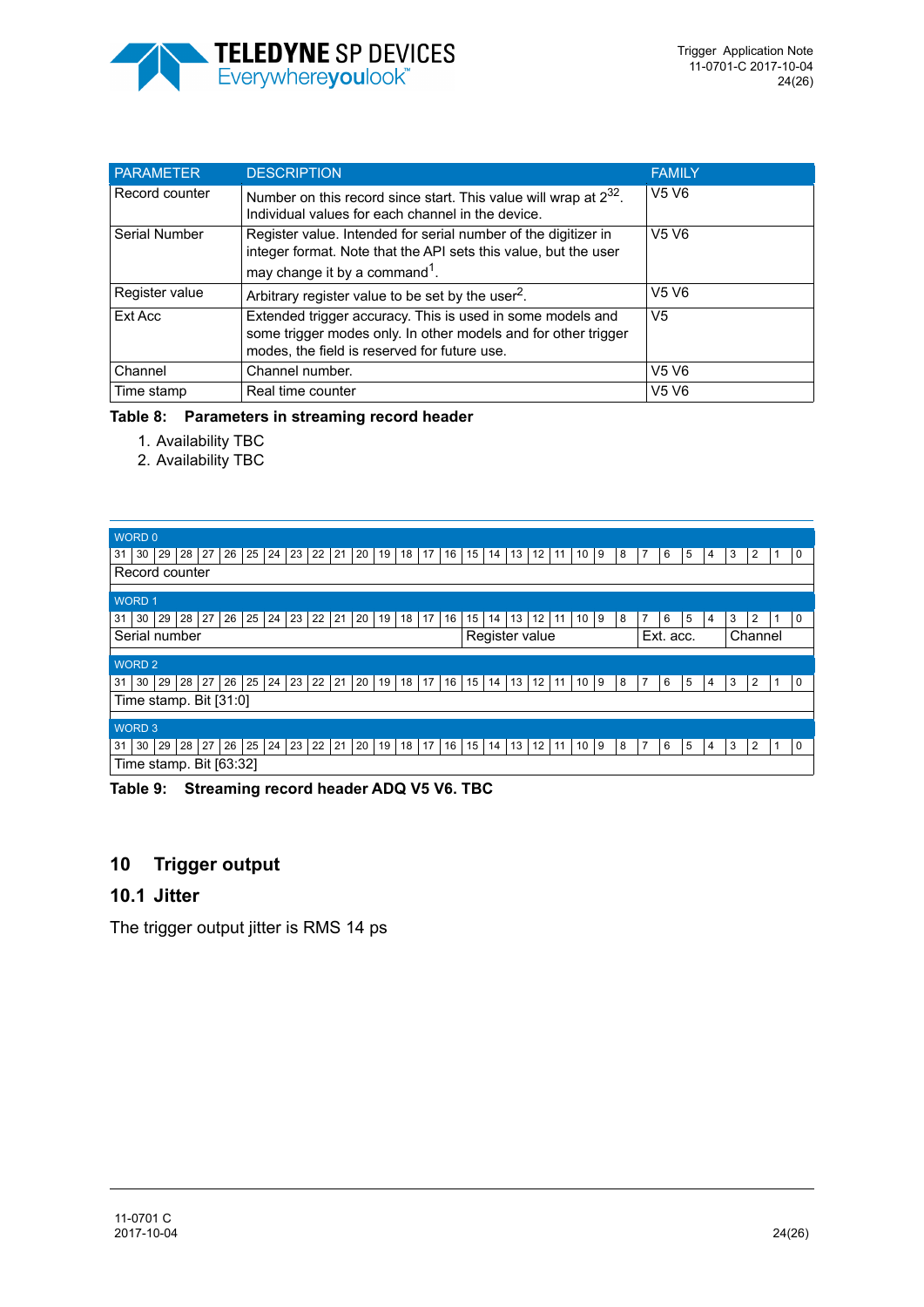![](_page_23_Picture_0.jpeg)

| <b>PARAMETER</b> | <b>DESCRIPTION</b>                                                                                                                                                             | <b>FAMILY</b>                 |
|------------------|--------------------------------------------------------------------------------------------------------------------------------------------------------------------------------|-------------------------------|
| Record counter   | Number on this record since start. This value will wrap at $2^{32}$ .<br>Individual values for each channel in the device.                                                     | V <sub>5</sub> V <sub>6</sub> |
| Serial Number    | Register value. Intended for serial number of the digitizer in<br>integer format. Note that the API sets this value, but the user<br>may change it by a command <sup>1</sup> . | V <sub>5</sub> V <sub>6</sub> |
| Register value   | Arbitrary register value to be set by the user $^2$ .                                                                                                                          | V <sub>5</sub> V <sub>6</sub> |
| Ext Acc          | Extended trigger accuracy. This is used in some models and<br>some trigger modes only. In other models and for other trigger<br>modes, the field is reserved for future use.   | V <sub>5</sub>                |
| Channel          | Channel number.                                                                                                                                                                | V <sub>5</sub> V <sub>6</sub> |
| Time stamp       | Real time counter                                                                                                                                                              | V <sub>5</sub> V <sub>6</sub> |

#### <span id="page-23-0"></span>**Table 8: Parameters in streaming record header**

- 1. Availability TBC
- 2. Availability TBC

| WORD 0                                                                                               |                                                           |                                           |
|------------------------------------------------------------------------------------------------------|-----------------------------------------------------------|-------------------------------------------|
| 29<br>27<br>26<br>24<br>23<br>22<br>21<br>20<br>19<br>16<br>30<br>28<br>25<br>17<br>18<br>31         | 13<br>$12 \overline{ }$<br>9<br>15<br>8<br>11<br>10<br>14 | 5<br>3<br>2<br>$\mathbf 0$<br>6<br>4      |
| Record counter                                                                                       |                                                           |                                           |
|                                                                                                      |                                                           |                                           |
| <b>WORD1</b>                                                                                         |                                                           |                                           |
| 27<br>24<br>21<br>30<br>29<br>28<br>26<br>25<br>23<br>22<br>19<br>17<br>16<br>20<br>18<br>31         | 12<br>15<br>13<br>9<br>8<br>11<br>10<br>14                | 5<br>2<br>$\Omega$<br>7<br>6<br>3<br>4    |
| Serial number                                                                                        | Register value                                            | Ext. acc.<br>Channel                      |
|                                                                                                      |                                                           |                                           |
|                                                                                                      |                                                           |                                           |
| <b>WORD 2</b>                                                                                        |                                                           |                                           |
| 27<br>25<br>$24 \mid 23$<br>22<br>21<br>28<br>26<br>20<br>19<br>18<br>17<br>16<br>  30  <br>29<br>31 | 13<br>12<br>15<br>14<br>10<br>9<br>11<br>8                | 7<br>5<br>3<br>2<br>6<br>$\mathbf 0$<br>4 |
| Time stamp. Bit [31:0]                                                                               |                                                           |                                           |
|                                                                                                      |                                                           |                                           |
| <b>WORD 3</b>                                                                                        |                                                           |                                           |
| 24<br>27<br>26<br>25<br>23<br>22<br>21<br>20<br>  30  <br>29<br>28<br>19<br>17<br>16<br>18<br>31     | 15<br>13<br>12<br>14<br>10<br>9<br>8<br>11                | 5<br>2<br>7<br>6<br>3<br>$\mathbf 0$<br>4 |

#### <span id="page-23-1"></span>**Table 9: Streaming record header ADQ V5 V6. TBC**

# **10 Trigger output**

## **10.1 Jitter**

The trigger output jitter is RMS 14 ps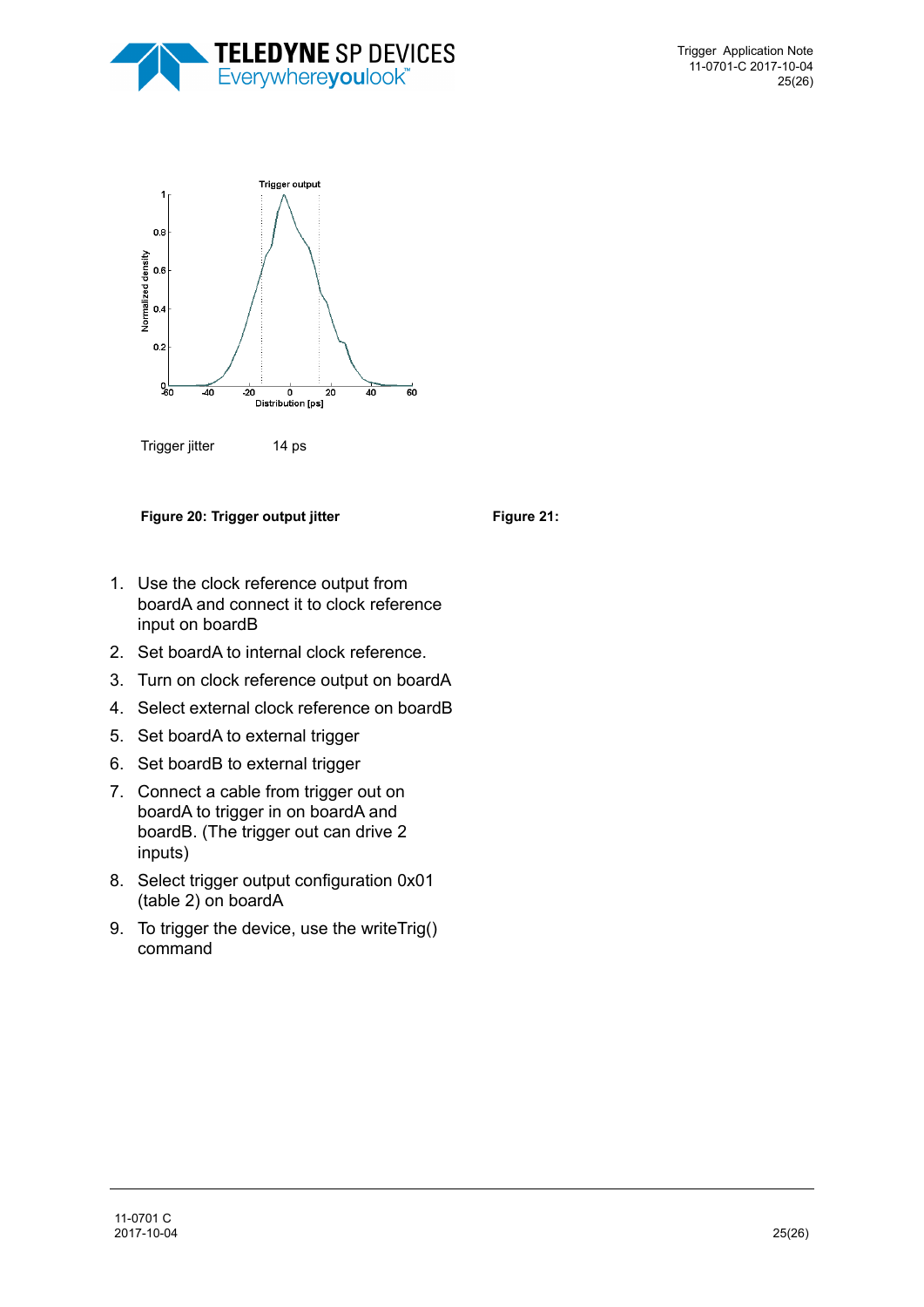![](_page_24_Picture_0.jpeg)

![](_page_24_Figure_2.jpeg)

**Figure 20: Trigger output jitter Figure 21:** Figure 21:

- 1. Use the clock reference output from boardA and connect it to clock reference input on boardB
- 2. Set boardA to internal clock reference.
- 3. Turn on clock reference output on boardA
- 4. Select external clock reference on boardB
- 5. Set boardA to external trigger
- 6. Set boardB to external trigger
- 7. Connect a cable from trigger out on boardA to trigger in on boardA and boardB. (The trigger out can drive 2 inputs)
- 8. Select trigger output configuration 0x01 (table 2) on boardA
- 9. To trigger the device, use the writeTrig() command